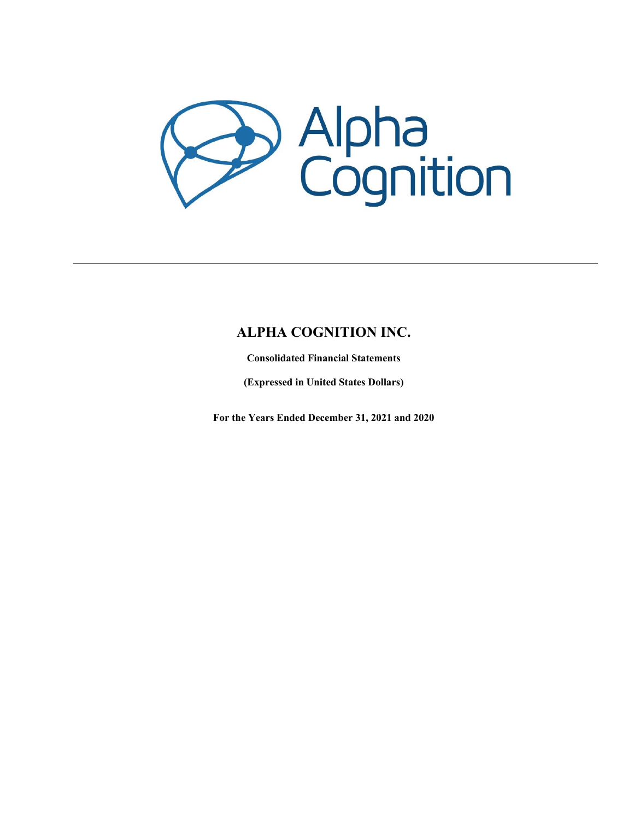

# **ALPHA COGNITION INC.**

**Consolidated Financial Statements** 

**(Expressed in United States Dollars)** 

**For the Years Ended December 31, 2021 and 2020**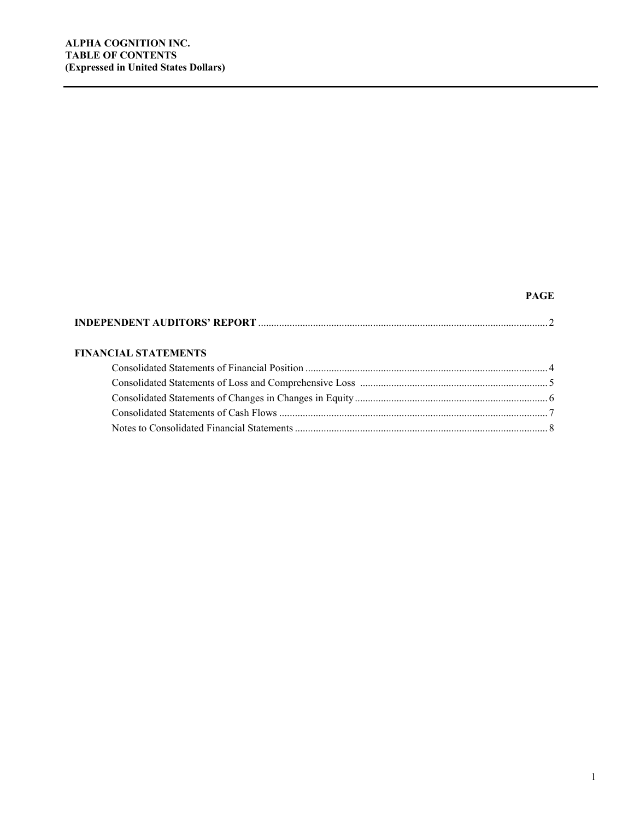## **PAGE**

# **INDEPENDENT AUDITORS' REPORT** ............................................................................................................... 2

# **FINANCIAL STATEMENTS**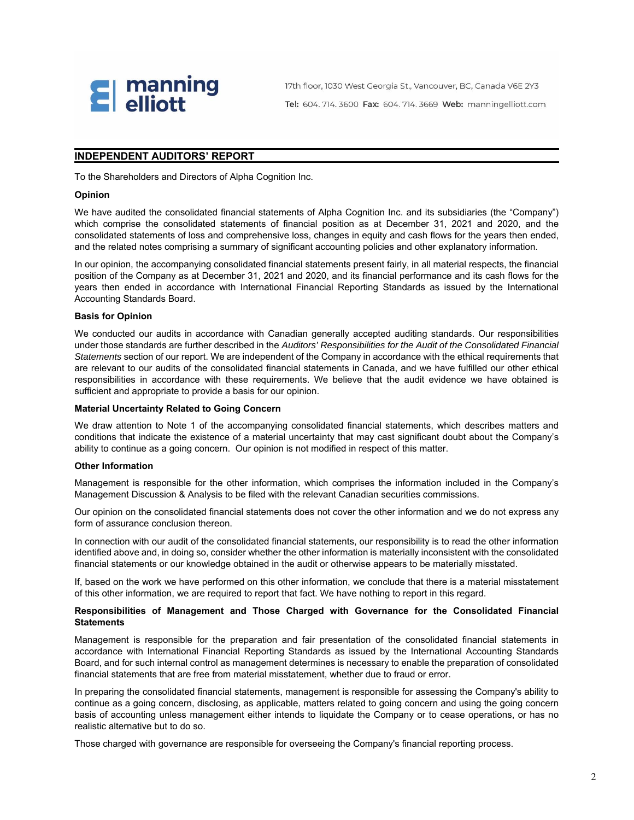

17th floor, 1030 West Georgia St., Vancouver, BC, Canada V6E 2Y3 Tel: 604.714.3600 Fax: 604.714.3669 Web: manningelliott.com

### **INDEPENDENT AUDITORS' REPORT**

To the Shareholders and Directors of Alpha Cognition Inc.

#### **Opinion**

We have audited the consolidated financial statements of Alpha Cognition Inc. and its subsidiaries (the "Company") which comprise the consolidated statements of financial position as at December 31, 2021 and 2020, and the consolidated statements of loss and comprehensive loss, changes in equity and cash flows for the years then ended, and the related notes comprising a summary of significant accounting policies and other explanatory information.

In our opinion, the accompanying consolidated financial statements present fairly, in all material respects, the financial position of the Company as at December 31, 2021 and 2020, and its financial performance and its cash flows for the years then ended in accordance with International Financial Reporting Standards as issued by the International Accounting Standards Board.

### **Basis for Opinion**

We conducted our audits in accordance with Canadian generally accepted auditing standards. Our responsibilities under those standards are further described in the *Auditors' Responsibilities for the Audit of the Consolidated Financial Statements* section of our report. We are independent of the Company in accordance with the ethical requirements that are relevant to our audits of the consolidated financial statements in Canada, and we have fulfilled our other ethical responsibilities in accordance with these requirements. We believe that the audit evidence we have obtained is sufficient and appropriate to provide a basis for our opinion.

#### **Material Uncertainty Related to Going Concern**

We draw attention to Note 1 of the accompanying consolidated financial statements, which describes matters and conditions that indicate the existence of a material uncertainty that may cast significant doubt about the Company's ability to continue as a going concern. Our opinion is not modified in respect of this matter.

#### **Other Information**

Management is responsible for the other information, which comprises the information included in the Company's Management Discussion & Analysis to be filed with the relevant Canadian securities commissions.

Our opinion on the consolidated financial statements does not cover the other information and we do not express any form of assurance conclusion thereon.

In connection with our audit of the consolidated financial statements, our responsibility is to read the other information identified above and, in doing so, consider whether the other information is materially inconsistent with the consolidated financial statements or our knowledge obtained in the audit or otherwise appears to be materially misstated.

If, based on the work we have performed on this other information, we conclude that there is a material misstatement of this other information, we are required to report that fact. We have nothing to report in this regard.

#### **Responsibilities of Management and Those Charged with Governance for the Consolidated Financial Statements**

Management is responsible for the preparation and fair presentation of the consolidated financial statements in accordance with International Financial Reporting Standards as issued by the International Accounting Standards Board, and for such internal control as management determines is necessary to enable the preparation of consolidated financial statements that are free from material misstatement, whether due to fraud or error.

In preparing the consolidated financial statements, management is responsible for assessing the Company's ability to continue as a going concern, disclosing, as applicable, matters related to going concern and using the going concern basis of accounting unless management either intends to liquidate the Company or to cease operations, or has no realistic alternative but to do so.

Those charged with governance are responsible for overseeing the Company's financial reporting process.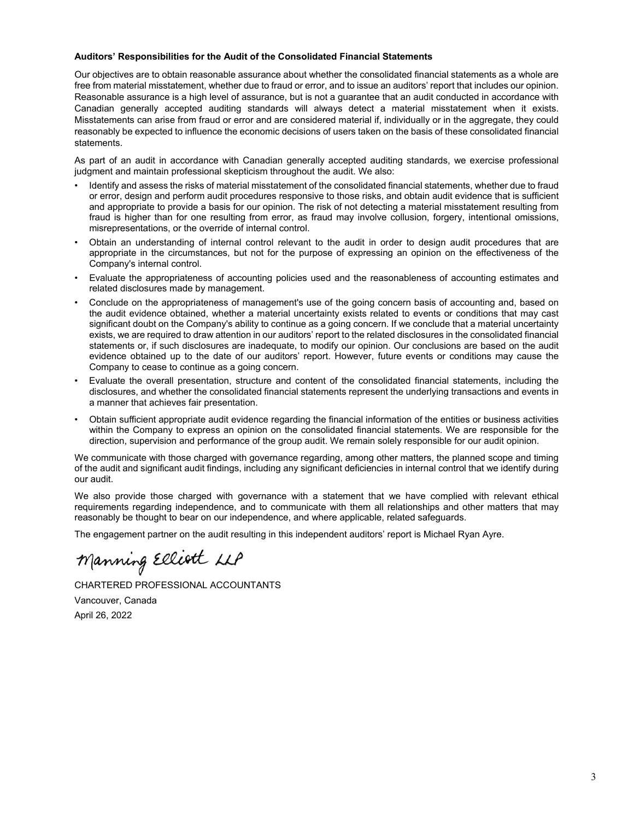#### **Auditors' Responsibilities for the Audit of the Consolidated Financial Statements**

Our objectives are to obtain reasonable assurance about whether the consolidated financial statements as a whole are free from material misstatement, whether due to fraud or error, and to issue an auditors' report that includes our opinion. Reasonable assurance is a high level of assurance, but is not a guarantee that an audit conducted in accordance with Canadian generally accepted auditing standards will always detect a material misstatement when it exists. Misstatements can arise from fraud or error and are considered material if, individually or in the aggregate, they could reasonably be expected to influence the economic decisions of users taken on the basis of these consolidated financial statements.

As part of an audit in accordance with Canadian generally accepted auditing standards, we exercise professional judgment and maintain professional skepticism throughout the audit. We also:

- Identify and assess the risks of material misstatement of the consolidated financial statements, whether due to fraud or error, design and perform audit procedures responsive to those risks, and obtain audit evidence that is sufficient and appropriate to provide a basis for our opinion. The risk of not detecting a material misstatement resulting from fraud is higher than for one resulting from error, as fraud may involve collusion, forgery, intentional omissions, misrepresentations, or the override of internal control.
- Obtain an understanding of internal control relevant to the audit in order to design audit procedures that are appropriate in the circumstances, but not for the purpose of expressing an opinion on the effectiveness of the Company's internal control.
- Evaluate the appropriateness of accounting policies used and the reasonableness of accounting estimates and related disclosures made by management.
- Conclude on the appropriateness of management's use of the going concern basis of accounting and, based on the audit evidence obtained, whether a material uncertainty exists related to events or conditions that may cast significant doubt on the Company's ability to continue as a going concern. If we conclude that a material uncertainty exists, we are required to draw attention in our auditors' report to the related disclosures in the consolidated financial statements or, if such disclosures are inadequate, to modify our opinion. Our conclusions are based on the audit evidence obtained up to the date of our auditors' report. However, future events or conditions may cause the Company to cease to continue as a going concern.
- Evaluate the overall presentation, structure and content of the consolidated financial statements, including the disclosures, and whether the consolidated financial statements represent the underlying transactions and events in a manner that achieves fair presentation.
- Obtain sufficient appropriate audit evidence regarding the financial information of the entities or business activities within the Company to express an opinion on the consolidated financial statements. We are responsible for the direction, supervision and performance of the group audit. We remain solely responsible for our audit opinion.

We communicate with those charged with governance regarding, among other matters, the planned scope and timing of the audit and significant audit findings, including any significant deficiencies in internal control that we identify during our audit.

We also provide those charged with governance with a statement that we have complied with relevant ethical requirements regarding independence, and to communicate with them all relationships and other matters that may reasonably be thought to bear on our independence, and where applicable, related safeguards.

The engagement partner on the audit resulting in this independent auditors' report is Michael Ryan Ayre.

Manning Elliott LLP

CHARTERED PROFESSIONAL ACCOUNTANTS Vancouver, Canada April 26, 2022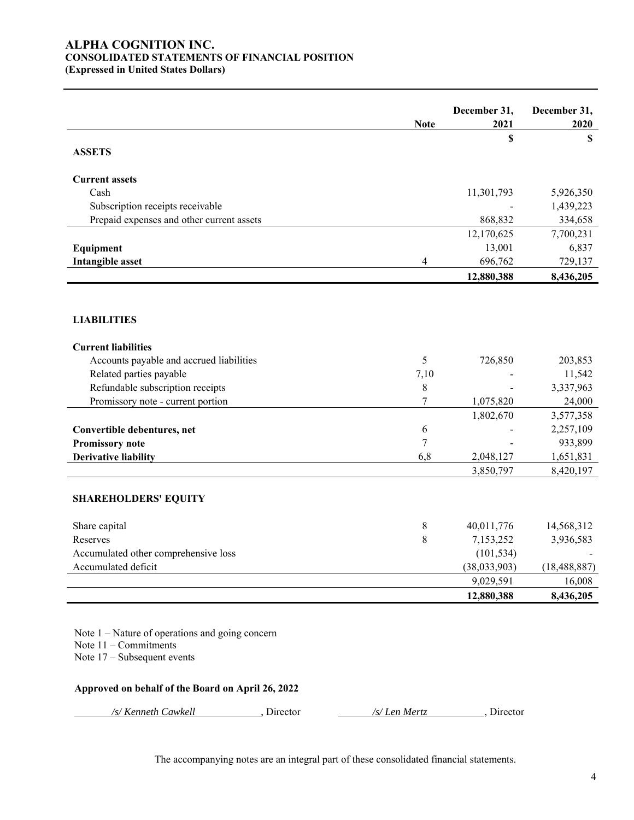### **ALPHA COGNITION INC. CONSOLIDATED STATEMENTS OF FINANCIAL POSITION (Expressed in United States Dollars)**

|                                           |                | December 31, | December 31,   |
|-------------------------------------------|----------------|--------------|----------------|
|                                           | <b>Note</b>    | 2021         | 2020           |
| <b>ASSETS</b>                             |                | \$           | $\mathbf S$    |
|                                           |                |              |                |
| <b>Current assets</b>                     |                |              |                |
| Cash                                      |                | 11,301,793   | 5,926,350      |
| Subscription receipts receivable          |                |              | 1,439,223      |
| Prepaid expenses and other current assets |                | 868,832      | 334,658        |
|                                           |                | 12,170,625   | 7,700,231      |
| Equipment                                 |                | 13,001       | 6,837          |
| <b>Intangible asset</b>                   | 4              | 696,762      | 729,137        |
|                                           |                | 12,880,388   | 8,436,205      |
|                                           |                |              |                |
|                                           |                |              |                |
| <b>LIABILITIES</b>                        |                |              |                |
|                                           |                |              |                |
| <b>Current liabilities</b>                |                |              |                |
| Accounts payable and accrued liabilities  | 5              | 726,850      | 203,853        |
| Related parties payable                   | 7,10           |              | 11,542         |
| Refundable subscription receipts          | $8\,$          |              | 3,337,963      |
| Promissory note - current portion         | 7              | 1,075,820    | 24,000         |
|                                           |                | 1,802,670    | 3,577,358      |
| Convertible debentures, net               | 6              |              | 2,257,109      |
| <b>Promissory</b> note                    | $\overline{7}$ |              | 933,899        |
| <b>Derivative liability</b>               | 6,8            | 2,048,127    | 1,651,831      |
|                                           |                | 3,850,797    | 8,420,197      |
|                                           |                |              |                |
| <b>SHAREHOLDERS' EQUITY</b>               |                |              |                |
| Share capital                             | 8              | 40,011,776   | 14,568,312     |
| Reserves                                  | 8              | 7,153,252    | 3,936,583      |
| Accumulated other comprehensive loss      |                | (101, 534)   |                |
| Accumulated deficit                       |                | (38,033,903) | (18, 488, 887) |
|                                           |                | 9,029,591    | 16,008         |
|                                           |                | 12,880,388   | 8,436,205      |
|                                           |                |              |                |

Note 1 – Nature of operations and going concern Note  $11 -$ Commitments Note 17 – Subsequent events

### **Approved on behalf of the Board on April 26, 2022**

*/s/ Kenneth Cawkell*, Director */s/ Len Mertz* , Director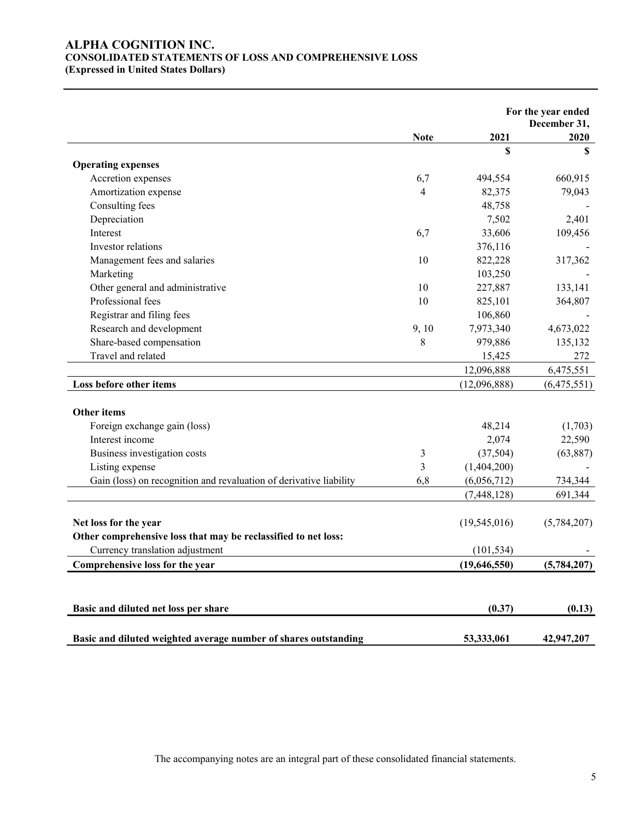### **ALPHA COGNITION INC. CONSOLIDATED STATEMENTS OF LOSS AND COMPREHENSIVE LOSS (Expressed in United States Dollars)**

|                                                                    |                |                | For the year ended<br>December 31, |
|--------------------------------------------------------------------|----------------|----------------|------------------------------------|
|                                                                    | <b>Note</b>    | 2021           | 2020                               |
|                                                                    |                | \$             | \$                                 |
| <b>Operating expenses</b>                                          |                |                |                                    |
| Accretion expenses                                                 | 6,7            | 494,554        | 660,915                            |
| Amortization expense                                               | $\overline{4}$ | 82,375         | 79,043                             |
| Consulting fees                                                    |                | 48,758         |                                    |
| Depreciation                                                       |                | 7,502          | 2,401                              |
| Interest                                                           | 6,7            | 33,606         | 109,456                            |
| Investor relations                                                 |                | 376,116        |                                    |
| Management fees and salaries                                       | 10             | 822,228        | 317,362                            |
| Marketing                                                          |                | 103,250        |                                    |
| Other general and administrative                                   | 10             | 227,887        | 133,141                            |
| Professional fees                                                  | 10             | 825,101        | 364,807                            |
| Registrar and filing fees                                          |                | 106,860        |                                    |
| Research and development                                           | 9,10           | 7,973,340      | 4,673,022                          |
| Share-based compensation                                           | $8\,$          | 979,886        | 135,132                            |
| Travel and related                                                 |                | 15,425         | 272                                |
|                                                                    |                | 12,096,888     | 6,475,551                          |
| Loss before other items                                            |                | (12,096,888)   | (6,475,551)                        |
| <b>Other items</b>                                                 |                |                |                                    |
| Foreign exchange gain (loss)                                       |                | 48,214         | (1,703)                            |
| Interest income                                                    |                | 2,074          | 22,590                             |
| Business investigation costs                                       | 3              | (37, 504)      | (63, 887)                          |
| Listing expense                                                    | 3              | (1,404,200)    |                                    |
| Gain (loss) on recognition and revaluation of derivative liability | 6,8            | (6,056,712)    | 734,344                            |
|                                                                    |                | (7, 448, 128)  | 691,344                            |
|                                                                    |                |                |                                    |
| Net loss for the year                                              |                | (19, 545, 016) | (5,784,207)                        |
| Other comprehensive loss that may be reclassified to net loss:     |                |                |                                    |
| Currency translation adjustment                                    |                | (101, 534)     |                                    |
| Comprehensive loss for the year                                    |                | (19,646,550)   | (5,784,207)                        |
| Basic and diluted net loss per share                               |                | (0.37)         | (0.13)                             |
| Basic and diluted weighted average number of shares outstanding    |                | 53,333,061     | 42,947,207                         |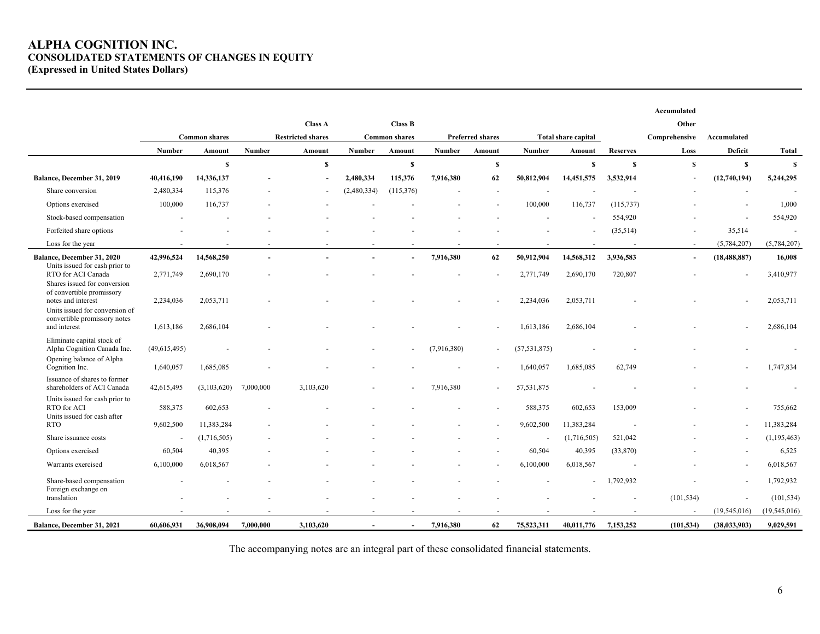### **ALPHA COGNITION INC. CONSOLIDATED STATEMENTS OF CHANGES IN EQUITY (Expressed in United States Dollars)**

|                                                                                                                   |                          |                          |           |                          |             |                      |               |                         |                          |                          |                 | Accumulated   |                |                |
|-------------------------------------------------------------------------------------------------------------------|--------------------------|--------------------------|-----------|--------------------------|-------------|----------------------|---------------|-------------------------|--------------------------|--------------------------|-----------------|---------------|----------------|----------------|
|                                                                                                                   |                          |                          |           | <b>Class A</b>           |             | <b>Class B</b>       |               |                         |                          |                          |                 | Other         |                |                |
|                                                                                                                   |                          | <b>Common shares</b>     |           | <b>Restricted shares</b> |             | <b>Common shares</b> |               | <b>Preferred shares</b> |                          | Total share capital      |                 | Comprehensive | Accumulated    |                |
|                                                                                                                   | Number                   | Amount                   | Number    | Amount                   | Number      | Amount               | <b>Number</b> | Amount                  | Number                   | Amount                   | <b>Reserves</b> | Loss          | Deficit        | <b>Total</b>   |
|                                                                                                                   |                          | S                        |           | $\mathbf{s}$             |             | $\mathbf{s}$         |               | S                       |                          | $\mathbf{s}$             | S.              | S             | <sup>\$</sup>  | S              |
| Balance, December 31, 2019                                                                                        | 40,416,190               | 14,336,137               |           |                          | 2,480,334   | 115,376              | 7,916,380     | 62                      | 50,812,904               | 14,451,575               | 3,532,914       | $\sim$        | (12,740,194)   | 5,244,295      |
| Share conversion                                                                                                  | 2,480,334                | 115,376                  |           |                          | (2,480,334) | (115,376)            |               |                         |                          |                          |                 |               | $\blacksquare$ |                |
| Options exercised                                                                                                 | 100,000                  | 116,737                  |           |                          |             |                      |               |                         | 100,000                  | 116,737                  | (115, 737)      |               |                | 1,000          |
| Stock-based compensation                                                                                          |                          |                          |           |                          |             |                      |               |                         |                          |                          | 554,920         |               |                | 554,920        |
| Forfeited share options                                                                                           |                          |                          |           |                          |             |                      |               |                         |                          |                          | (35,514)        | $\sim$        | 35,514         |                |
| Loss for the year                                                                                                 | $\overline{\phantom{a}}$ | $\overline{\phantom{a}}$ |           |                          |             |                      |               |                         | $\overline{\phantom{a}}$ | $\overline{\phantom{a}}$ | $\sim$          | $\sim$        | (5,784,207)    | (5,784,207)    |
| Balance, December 31, 2020<br>Units issued for cash prior to                                                      | 42,996,524               | 14,568,250               |           |                          |             | $\blacksquare$       | 7,916,380     | 62                      | 50,912,904               | 14,568,312               | 3,936,583       | $\sim$        | (18, 488, 887) | 16,008         |
| RTO for ACI Canada                                                                                                | 2,771,749                | 2,690,170                |           |                          |             |                      |               |                         | 2,771,749                | 2,690,170                | 720,807         |               |                | 3,410,977      |
| Shares issued for conversion<br>of convertible promissory<br>notes and interest<br>Units issued for conversion of | 2,234,036                | 2,053,711                |           |                          |             |                      |               |                         | 2,234,036                | 2,053,711                |                 |               |                | 2,053,711      |
| convertible promissory notes<br>and interest                                                                      | 1,613,186                | 2,686,104                |           |                          |             |                      |               |                         | 1,613,186                | 2,686,104                |                 |               |                | 2,686,104      |
| Eliminate capital stock of<br>Alpha Cognition Canada Inc.<br>Opening balance of Alpha                             | (49,615,495)             |                          |           |                          |             |                      | (7,916,380)   |                         | (57, 531, 875)           |                          |                 |               |                |                |
| Cognition Inc.                                                                                                    | 1,640,057                | 1,685,085                |           |                          |             |                      |               |                         | 1,640,057                | 1,685,085                | 62,749          |               |                | 1,747,834      |
| Issuance of shares to former<br>shareholders of ACI Canada                                                        | 42,615,495               | (3,103,620)              | 7,000,000 | 3,103,620                |             |                      | 7,916,380     |                         | 57,531,875               |                          |                 |               |                |                |
| Units issued for cash prior to<br>RTO for ACI<br>Units issued for cash after                                      | 588,375                  | 602,653                  |           |                          |             |                      |               |                         | 588,375                  | 602,653                  | 153,009         |               |                | 755,662        |
| <b>RTO</b>                                                                                                        | 9,602,500                | 11,383,284               |           |                          |             |                      |               |                         | 9,602,500                | 11,383,284               |                 |               |                | 11,383,284     |
| Share issuance costs                                                                                              |                          | (1,716,505)              |           |                          |             |                      |               |                         |                          | (1,716,505)              | 521,042         |               |                | (1, 195, 463)  |
| Options exercised                                                                                                 | 60,504                   | 40,395                   |           |                          |             |                      |               |                         | 60,504                   | 40,395                   | (33,870)        |               |                | 6,525          |
| Warrants exercised                                                                                                | 6,100,000                | 6,018,567                |           |                          |             |                      |               |                         | 6,100,000                | 6,018,567                |                 |               |                | 6,018,567      |
| Share-based compensation<br>Foreign exchange on                                                                   |                          |                          |           |                          |             |                      |               |                         |                          |                          | 1,792,932       |               |                | 1,792,932      |
| translation                                                                                                       |                          |                          |           |                          |             |                      |               |                         |                          |                          |                 | (101, 534)    | $\sim$         | (101, 534)     |
| Loss for the year                                                                                                 |                          |                          |           |                          |             |                      |               |                         |                          |                          |                 | $\sim$        | (19,545,016)   | (19, 545, 016) |
| Balance, December 31, 2021                                                                                        | 60,606,931               | 36,908,094               | 7,000,000 | 3,103,620                | $\sim$      | $\sim$               | 7,916,380     | 62                      | 75,523,311               | 40,011,776 7,153,252     |                 | (101, 534)    | (38,033,903)   | 9,029,591      |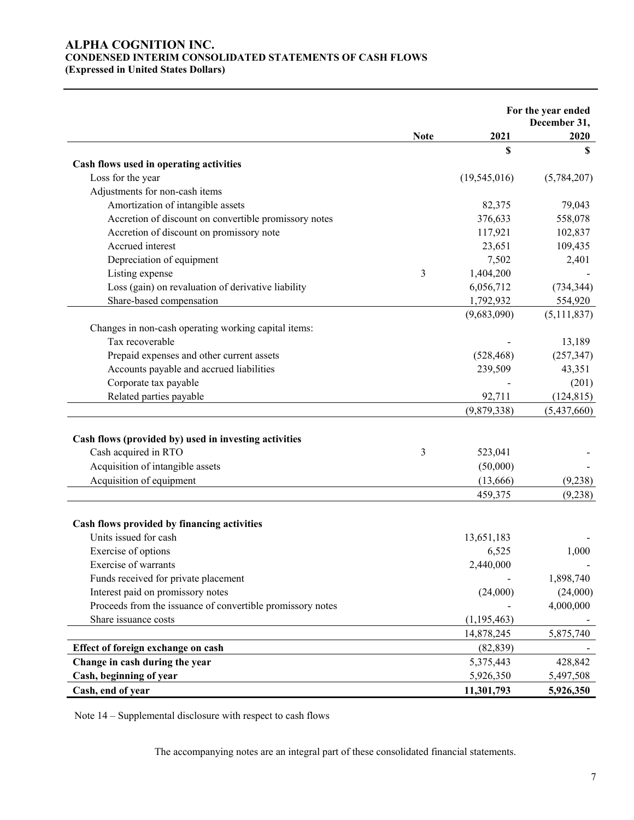### **ALPHA COGNITION INC. CONDENSED INTERIM CONSOLIDATED STATEMENTS OF CASH FLOWS (Expressed in United States Dollars)**

|                                                                      |             |                | For the year ended<br>December 31, |
|----------------------------------------------------------------------|-------------|----------------|------------------------------------|
|                                                                      | <b>Note</b> | 2021           | 2020                               |
|                                                                      |             | \$             | \$.                                |
| Cash flows used in operating activities                              |             |                |                                    |
| Loss for the year                                                    |             | (19, 545, 016) | (5,784,207)                        |
| Adjustments for non-cash items                                       |             |                |                                    |
| Amortization of intangible assets                                    |             | 82,375         | 79,043                             |
| Accretion of discount on convertible promissory notes                |             | 376,633        | 558,078                            |
| Accretion of discount on promissory note                             |             | 117,921        | 102,837                            |
| Accrued interest                                                     |             | 23,651         | 109,435                            |
| Depreciation of equipment                                            |             | 7,502          | 2,401                              |
| Listing expense                                                      | 3           | 1,404,200      |                                    |
| Loss (gain) on revaluation of derivative liability                   |             | 6,056,712      | (734, 344)                         |
| Share-based compensation                                             |             | 1,792,932      | 554,920                            |
|                                                                      |             | (9,683,090)    | (5, 111, 837)                      |
| Changes in non-cash operating working capital items:                 |             |                |                                    |
| Tax recoverable                                                      |             |                | 13,189                             |
| Prepaid expenses and other current assets                            |             | (528, 468)     | (257, 347)                         |
| Accounts payable and accrued liabilities                             |             | 239,509        | 43,351                             |
| Corporate tax payable                                                |             |                | (201)                              |
| Related parties payable                                              |             | 92,711         | (124, 815)                         |
|                                                                      |             | (9,879,338)    | (5,437,660)                        |
|                                                                      |             |                |                                    |
| Cash flows (provided by) used in investing activities                |             |                |                                    |
| Cash acquired in RTO                                                 | 3           | 523,041        |                                    |
| Acquisition of intangible assets                                     |             | (50,000)       |                                    |
| Acquisition of equipment                                             |             | (13,666)       | (9,238)                            |
|                                                                      |             | 459,375        | (9,238)                            |
|                                                                      |             |                |                                    |
| Cash flows provided by financing activities<br>Units issued for cash |             | 13,651,183     |                                    |
| Exercise of options                                                  |             | 6,525          |                                    |
|                                                                      |             |                | 1,000                              |
| Exercise of warrants                                                 |             | 2,440,000      |                                    |
| Funds received for private placement                                 |             |                | 1,898,740                          |
| Interest paid on promissory notes                                    |             | (24,000)       | (24,000)                           |
| Proceeds from the issuance of convertible promissory notes           |             |                | 4,000,000                          |
| Share issuance costs                                                 |             | (1, 195, 463)  |                                    |
|                                                                      |             | 14,878,245     | 5,875,740                          |
| Effect of foreign exchange on cash                                   |             | (82, 839)      |                                    |
| Change in cash during the year                                       |             | 5,375,443      | 428,842                            |
| Cash, beginning of year                                              |             | 5,926,350      | 5,497,508                          |
| Cash, end of year                                                    |             | 11,301,793     | 5,926,350                          |

Note 14 – Supplemental disclosure with respect to cash flows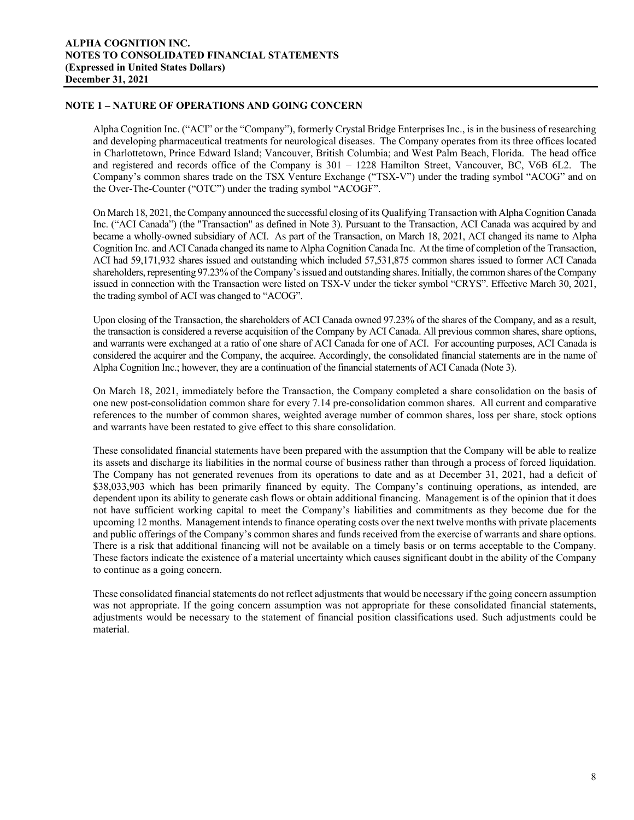### **NOTE 1 – NATURE OF OPERATIONS AND GOING CONCERN**

Alpha Cognition Inc. ("ACI" or the "Company"), formerly Crystal Bridge Enterprises Inc., is in the business of researching and developing pharmaceutical treatments for neurological diseases. The Company operates from its three offices located in Charlottetown, Prince Edward Island; Vancouver, British Columbia; and West Palm Beach, Florida. The head office and registered and records office of the Company is 301 – 1228 Hamilton Street, Vancouver, BC, V6B 6L2. The Company's common shares trade on the TSX Venture Exchange ("TSX-V") under the trading symbol "ACOG" and on the Over-The-Counter ("OTC") under the trading symbol "ACOGF".

On March 18, 2021, the Company announced the successful closing of its Qualifying Transaction with Alpha Cognition Canada Inc. ("ACI Canada") (the "Transaction" as defined in Note 3). Pursuant to the Transaction, ACI Canada was acquired by and became a wholly-owned subsidiary of ACI. As part of the Transaction, on March 18, 2021, ACI changed its name to Alpha Cognition Inc. and ACI Canada changed its name to Alpha Cognition Canada Inc. At the time of completion of the Transaction, ACI had 59,171,932 shares issued and outstanding which included 57,531,875 common shares issued to former ACI Canada shareholders, representing 97.23% of the Company's issued and outstanding shares. Initially, the common shares of the Company issued in connection with the Transaction were listed on TSX-V under the ticker symbol "CRYS". Effective March 30, 2021, the trading symbol of ACI was changed to "ACOG".

Upon closing of the Transaction, the shareholders of ACI Canada owned 97.23% of the shares of the Company, and as a result, the transaction is considered a reverse acquisition of the Company by ACI Canada. All previous common shares, share options, and warrants were exchanged at a ratio of one share of ACI Canada for one of ACI. For accounting purposes, ACI Canada is considered the acquirer and the Company, the acquiree. Accordingly, the consolidated financial statements are in the name of Alpha Cognition Inc.; however, they are a continuation of the financial statements of ACI Canada (Note 3).

On March 18, 2021, immediately before the Transaction, the Company completed a share consolidation on the basis of one new post-consolidation common share for every 7.14 pre-consolidation common shares. All current and comparative references to the number of common shares, weighted average number of common shares, loss per share, stock options and warrants have been restated to give effect to this share consolidation.

These consolidated financial statements have been prepared with the assumption that the Company will be able to realize its assets and discharge its liabilities in the normal course of business rather than through a process of forced liquidation. The Company has not generated revenues from its operations to date and as at December 31, 2021, had a deficit of \$38,033,903 which has been primarily financed by equity. The Company's continuing operations, as intended, are dependent upon its ability to generate cash flows or obtain additional financing. Management is of the opinion that it does not have sufficient working capital to meet the Company's liabilities and commitments as they become due for the upcoming 12 months. Management intends to finance operating costs over the next twelve months with private placements and public offerings of the Company's common shares and funds received from the exercise of warrants and share options. There is a risk that additional financing will not be available on a timely basis or on terms acceptable to the Company. These factors indicate the existence of a material uncertainty which causes significant doubt in the ability of the Company to continue as a going concern.

These consolidated financial statements do not reflect adjustments that would be necessary if the going concern assumption was not appropriate. If the going concern assumption was not appropriate for these consolidated financial statements, adjustments would be necessary to the statement of financial position classifications used. Such adjustments could be material.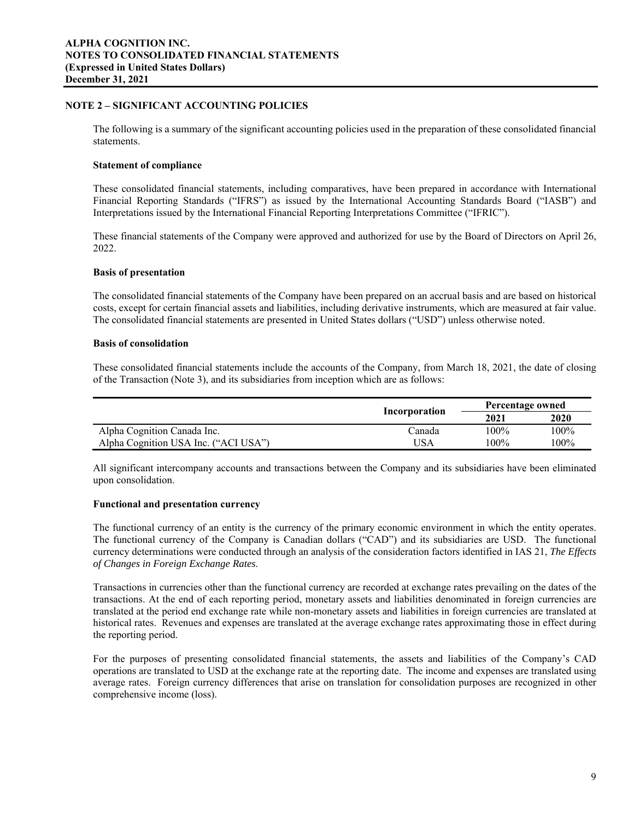### **NOTE 2 – SIGNIFICANT ACCOUNTING POLICIES**

The following is a summary of the significant accounting policies used in the preparation of these consolidated financial statements.

### **Statement of compliance**

These consolidated financial statements, including comparatives, have been prepared in accordance with International Financial Reporting Standards ("IFRS") as issued by the International Accounting Standards Board ("IASB") and Interpretations issued by the International Financial Reporting Interpretations Committee ("IFRIC").

These financial statements of the Company were approved and authorized for use by the Board of Directors on April 26, 2022.

### **Basis of presentation**

The consolidated financial statements of the Company have been prepared on an accrual basis and are based on historical costs, except for certain financial assets and liabilities, including derivative instruments, which are measured at fair value. The consolidated financial statements are presented in United States dollars ("USD") unless otherwise noted.

### **Basis of consolidation**

These consolidated financial statements include the accounts of the Company, from March 18, 2021, the date of closing of the Transaction (Note 3), and its subsidiaries from inception which are as follows:

|                                      |               | Percentage owned |         |  |
|--------------------------------------|---------------|------------------|---------|--|
|                                      | Incorporation | 2021             | 2020    |  |
| Alpha Cognition Canada Inc.          | Canada        | 100%             | $100\%$ |  |
| Alpha Cognition USA Inc. ("ACI USA") | JSA           | 100%             | $100\%$ |  |

All significant intercompany accounts and transactions between the Company and its subsidiaries have been eliminated upon consolidation.

### **Functional and presentation currency**

The functional currency of an entity is the currency of the primary economic environment in which the entity operates. The functional currency of the Company is Canadian dollars ("CAD") and its subsidiaries are USD. The functional currency determinations were conducted through an analysis of the consideration factors identified in IAS 21, *The Effects of Changes in Foreign Exchange Rates*.

Transactions in currencies other than the functional currency are recorded at exchange rates prevailing on the dates of the transactions. At the end of each reporting period, monetary assets and liabilities denominated in foreign currencies are translated at the period end exchange rate while non-monetary assets and liabilities in foreign currencies are translated at historical rates. Revenues and expenses are translated at the average exchange rates approximating those in effect during the reporting period.

For the purposes of presenting consolidated financial statements, the assets and liabilities of the Company's CAD operations are translated to USD at the exchange rate at the reporting date. The income and expenses are translated using average rates. Foreign currency differences that arise on translation for consolidation purposes are recognized in other comprehensive income (loss).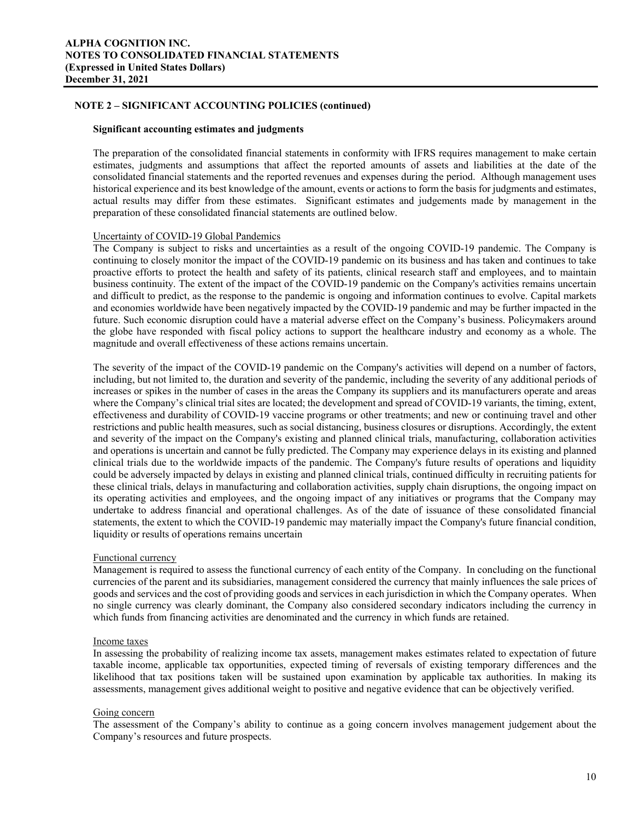#### **Significant accounting estimates and judgments**

The preparation of the consolidated financial statements in conformity with IFRS requires management to make certain estimates, judgments and assumptions that affect the reported amounts of assets and liabilities at the date of the consolidated financial statements and the reported revenues and expenses during the period. Although management uses historical experience and its best knowledge of the amount, events or actions to form the basis for judgments and estimates, actual results may differ from these estimates. Significant estimates and judgements made by management in the preparation of these consolidated financial statements are outlined below.

### Uncertainty of COVID-19 Global Pandemics

The Company is subject to risks and uncertainties as a result of the ongoing COVID-19 pandemic. The Company is continuing to closely monitor the impact of the COVID-19 pandemic on its business and has taken and continues to take proactive efforts to protect the health and safety of its patients, clinical research staff and employees, and to maintain business continuity. The extent of the impact of the COVID-19 pandemic on the Company's activities remains uncertain and difficult to predict, as the response to the pandemic is ongoing and information continues to evolve. Capital markets and economies worldwide have been negatively impacted by the COVID-19 pandemic and may be further impacted in the future. Such economic disruption could have a material adverse effect on the Company's business. Policymakers around the globe have responded with fiscal policy actions to support the healthcare industry and economy as a whole. The magnitude and overall effectiveness of these actions remains uncertain.

The severity of the impact of the COVID-19 pandemic on the Company's activities will depend on a number of factors, including, but not limited to, the duration and severity of the pandemic, including the severity of any additional periods of increases or spikes in the number of cases in the areas the Company its suppliers and its manufacturers operate and areas where the Company's clinical trial sites are located; the development and spread of COVID-19 variants, the timing, extent, effectiveness and durability of COVID-19 vaccine programs or other treatments; and new or continuing travel and other restrictions and public health measures, such as social distancing, business closures or disruptions. Accordingly, the extent and severity of the impact on the Company's existing and planned clinical trials, manufacturing, collaboration activities and operations is uncertain and cannot be fully predicted. The Company may experience delays in its existing and planned clinical trials due to the worldwide impacts of the pandemic. The Company's future results of operations and liquidity could be adversely impacted by delays in existing and planned clinical trials, continued difficulty in recruiting patients for these clinical trials, delays in manufacturing and collaboration activities, supply chain disruptions, the ongoing impact on its operating activities and employees, and the ongoing impact of any initiatives or programs that the Company may undertake to address financial and operational challenges. As of the date of issuance of these consolidated financial statements, the extent to which the COVID-19 pandemic may materially impact the Company's future financial condition, liquidity or results of operations remains uncertain

### Functional currency

Management is required to assess the functional currency of each entity of the Company. In concluding on the functional currencies of the parent and its subsidiaries, management considered the currency that mainly influences the sale prices of goods and services and the cost of providing goods and services in each jurisdiction in which the Company operates. When no single currency was clearly dominant, the Company also considered secondary indicators including the currency in which funds from financing activities are denominated and the currency in which funds are retained.

#### Income taxes

In assessing the probability of realizing income tax assets, management makes estimates related to expectation of future taxable income, applicable tax opportunities, expected timing of reversals of existing temporary differences and the likelihood that tax positions taken will be sustained upon examination by applicable tax authorities. In making its assessments, management gives additional weight to positive and negative evidence that can be objectively verified.

#### Going concern

The assessment of the Company's ability to continue as a going concern involves management judgement about the Company's resources and future prospects.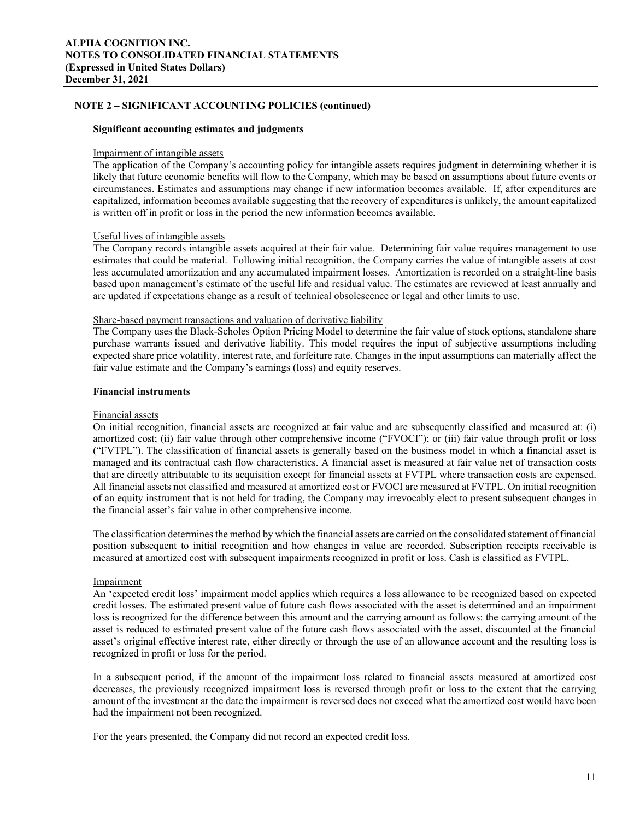#### **Significant accounting estimates and judgments**

#### Impairment of intangible assets

The application of the Company's accounting policy for intangible assets requires judgment in determining whether it is likely that future economic benefits will flow to the Company, which may be based on assumptions about future events or circumstances. Estimates and assumptions may change if new information becomes available. If, after expenditures are capitalized, information becomes available suggesting that the recovery of expenditures is unlikely, the amount capitalized is written off in profit or loss in the period the new information becomes available.

#### Useful lives of intangible assets

The Company records intangible assets acquired at their fair value. Determining fair value requires management to use estimates that could be material. Following initial recognition, the Company carries the value of intangible assets at cost less accumulated amortization and any accumulated impairment losses. Amortization is recorded on a straight-line basis based upon management's estimate of the useful life and residual value. The estimates are reviewed at least annually and are updated if expectations change as a result of technical obsolescence or legal and other limits to use.

### Share-based payment transactions and valuation of derivative liability

The Company uses the Black-Scholes Option Pricing Model to determine the fair value of stock options, standalone share purchase warrants issued and derivative liability. This model requires the input of subjective assumptions including expected share price volatility, interest rate, and forfeiture rate. Changes in the input assumptions can materially affect the fair value estimate and the Company's earnings (loss) and equity reserves.

#### **Financial instruments**

#### Financial assets

On initial recognition, financial assets are recognized at fair value and are subsequently classified and measured at: (i) amortized cost; (ii) fair value through other comprehensive income ("FVOCI"); or (iii) fair value through profit or loss ("FVTPL"). The classification of financial assets is generally based on the business model in which a financial asset is managed and its contractual cash flow characteristics. A financial asset is measured at fair value net of transaction costs that are directly attributable to its acquisition except for financial assets at FVTPL where transaction costs are expensed. All financial assets not classified and measured at amortized cost or FVOCI are measured at FVTPL. On initial recognition of an equity instrument that is not held for trading, the Company may irrevocably elect to present subsequent changes in the financial asset's fair value in other comprehensive income.

The classification determines the method by which the financial assets are carried on the consolidated statement of financial position subsequent to initial recognition and how changes in value are recorded. Subscription receipts receivable is measured at amortized cost with subsequent impairments recognized in profit or loss. Cash is classified as FVTPL.

#### Impairment

An 'expected credit loss' impairment model applies which requires a loss allowance to be recognized based on expected credit losses. The estimated present value of future cash flows associated with the asset is determined and an impairment loss is recognized for the difference between this amount and the carrying amount as follows: the carrying amount of the asset is reduced to estimated present value of the future cash flows associated with the asset, discounted at the financial asset's original effective interest rate, either directly or through the use of an allowance account and the resulting loss is recognized in profit or loss for the period.

In a subsequent period, if the amount of the impairment loss related to financial assets measured at amortized cost decreases, the previously recognized impairment loss is reversed through profit or loss to the extent that the carrying amount of the investment at the date the impairment is reversed does not exceed what the amortized cost would have been had the impairment not been recognized.

For the years presented, the Company did not record an expected credit loss.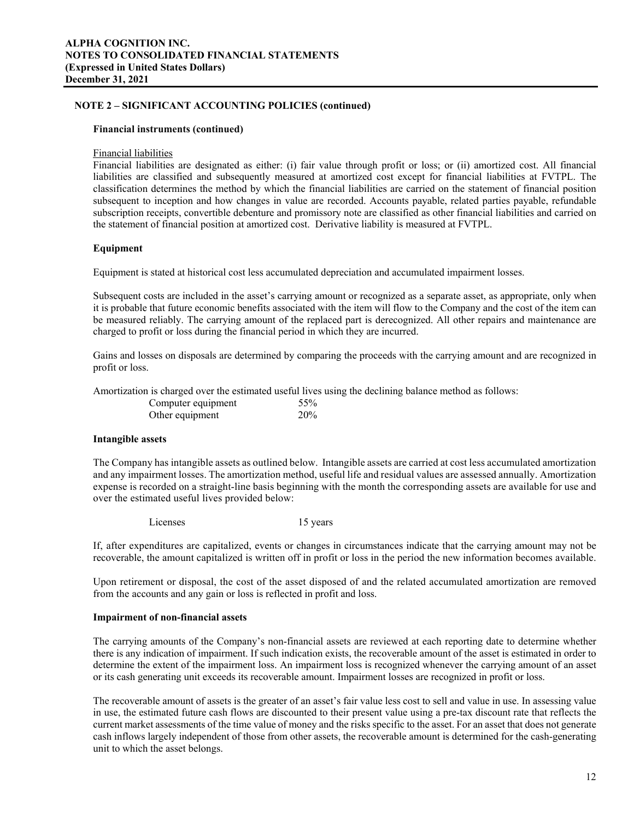### **Financial instruments (continued)**

#### Financial liabilities

Financial liabilities are designated as either: (i) fair value through profit or loss; or (ii) amortized cost. All financial liabilities are classified and subsequently measured at amortized cost except for financial liabilities at FVTPL. The classification determines the method by which the financial liabilities are carried on the statement of financial position subsequent to inception and how changes in value are recorded. Accounts payable, related parties payable, refundable subscription receipts, convertible debenture and promissory note are classified as other financial liabilities and carried on the statement of financial position at amortized cost. Derivative liability is measured at FVTPL.

### **Equipment**

Equipment is stated at historical cost less accumulated depreciation and accumulated impairment losses.

Subsequent costs are included in the asset's carrying amount or recognized as a separate asset, as appropriate, only when it is probable that future economic benefits associated with the item will flow to the Company and the cost of the item can be measured reliably. The carrying amount of the replaced part is derecognized. All other repairs and maintenance are charged to profit or loss during the financial period in which they are incurred.

Gains and losses on disposals are determined by comparing the proceeds with the carrying amount and are recognized in profit or loss.

Amortization is charged over the estimated useful lives using the declining balance method as follows:

| Computer equipment | 55% |
|--------------------|-----|
| Other equipment    | 20% |

#### **Intangible assets**

The Company has intangible assets as outlined below. Intangible assets are carried at cost less accumulated amortization and any impairment losses. The amortization method, useful life and residual values are assessed annually. Amortization expense is recorded on a straight-line basis beginning with the month the corresponding assets are available for use and over the estimated useful lives provided below:

Licenses 15 years

If, after expenditures are capitalized, events or changes in circumstances indicate that the carrying amount may not be recoverable, the amount capitalized is written off in profit or loss in the period the new information becomes available.

Upon retirement or disposal, the cost of the asset disposed of and the related accumulated amortization are removed from the accounts and any gain or loss is reflected in profit and loss.

#### **Impairment of non-financial assets**

The carrying amounts of the Company's non-financial assets are reviewed at each reporting date to determine whether there is any indication of impairment. If such indication exists, the recoverable amount of the asset is estimated in order to determine the extent of the impairment loss. An impairment loss is recognized whenever the carrying amount of an asset or its cash generating unit exceeds its recoverable amount. Impairment losses are recognized in profit or loss.

The recoverable amount of assets is the greater of an asset's fair value less cost to sell and value in use. In assessing value in use, the estimated future cash flows are discounted to their present value using a pre-tax discount rate that reflects the current market assessments of the time value of money and the risks specific to the asset. For an asset that does not generate cash inflows largely independent of those from other assets, the recoverable amount is determined for the cash-generating unit to which the asset belongs.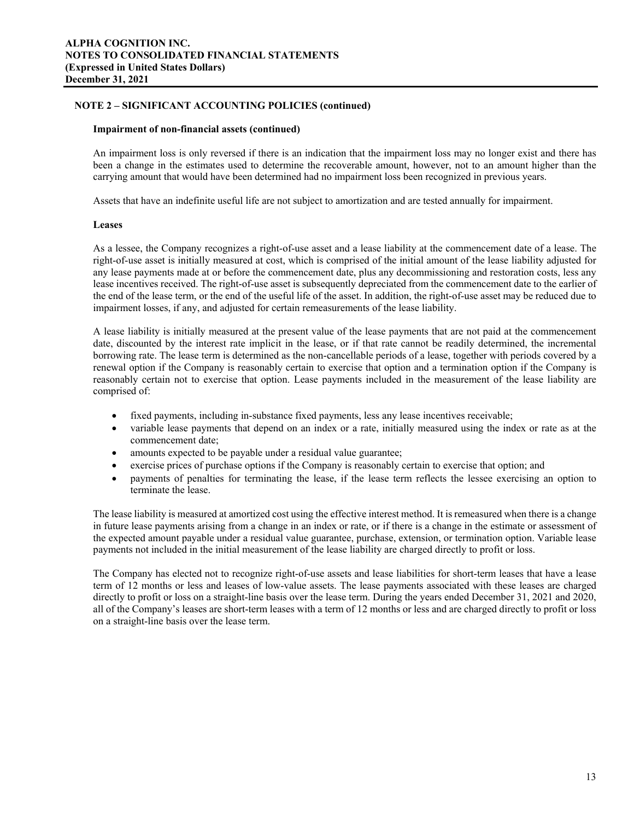#### **Impairment of non-financial assets (continued)**

An impairment loss is only reversed if there is an indication that the impairment loss may no longer exist and there has been a change in the estimates used to determine the recoverable amount, however, not to an amount higher than the carrying amount that would have been determined had no impairment loss been recognized in previous years.

Assets that have an indefinite useful life are not subject to amortization and are tested annually for impairment.

#### **Leases**

As a lessee, the Company recognizes a right-of-use asset and a lease liability at the commencement date of a lease. The right-of-use asset is initially measured at cost, which is comprised of the initial amount of the lease liability adjusted for any lease payments made at or before the commencement date, plus any decommissioning and restoration costs, less any lease incentives received. The right-of-use asset is subsequently depreciated from the commencement date to the earlier of the end of the lease term, or the end of the useful life of the asset. In addition, the right-of-use asset may be reduced due to impairment losses, if any, and adjusted for certain remeasurements of the lease liability.

A lease liability is initially measured at the present value of the lease payments that are not paid at the commencement date, discounted by the interest rate implicit in the lease, or if that rate cannot be readily determined, the incremental borrowing rate. The lease term is determined as the non-cancellable periods of a lease, together with periods covered by a renewal option if the Company is reasonably certain to exercise that option and a termination option if the Company is reasonably certain not to exercise that option. Lease payments included in the measurement of the lease liability are comprised of:

- fixed payments, including in-substance fixed payments, less any lease incentives receivable;
- variable lease payments that depend on an index or a rate, initially measured using the index or rate as at the commencement date;
- amounts expected to be payable under a residual value guarantee;
- exercise prices of purchase options if the Company is reasonably certain to exercise that option; and
- payments of penalties for terminating the lease, if the lease term reflects the lessee exercising an option to terminate the lease.

The lease liability is measured at amortized cost using the effective interest method. It is remeasured when there is a change in future lease payments arising from a change in an index or rate, or if there is a change in the estimate or assessment of the expected amount payable under a residual value guarantee, purchase, extension, or termination option. Variable lease payments not included in the initial measurement of the lease liability are charged directly to profit or loss.

The Company has elected not to recognize right-of-use assets and lease liabilities for short-term leases that have a lease term of 12 months or less and leases of low-value assets. The lease payments associated with these leases are charged directly to profit or loss on a straight-line basis over the lease term. During the years ended December 31, 2021 and 2020, all of the Company's leases are short-term leases with a term of 12 months or less and are charged directly to profit or loss on a straight-line basis over the lease term.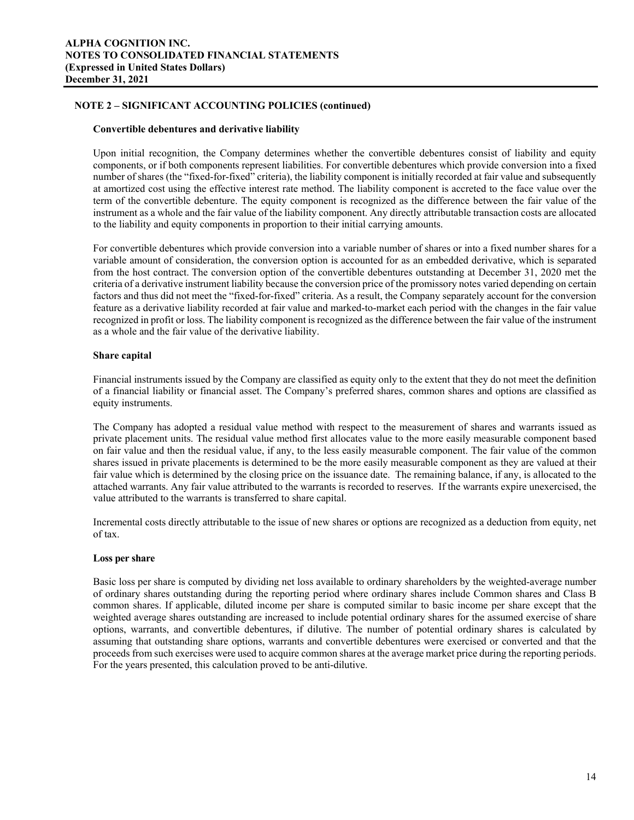#### **Convertible debentures and derivative liability**

Upon initial recognition, the Company determines whether the convertible debentures consist of liability and equity components, or if both components represent liabilities. For convertible debentures which provide conversion into a fixed number of shares (the "fixed-for-fixed" criteria), the liability component is initially recorded at fair value and subsequently at amortized cost using the effective interest rate method. The liability component is accreted to the face value over the term of the convertible debenture. The equity component is recognized as the difference between the fair value of the instrument as a whole and the fair value of the liability component. Any directly attributable transaction costs are allocated to the liability and equity components in proportion to their initial carrying amounts.

For convertible debentures which provide conversion into a variable number of shares or into a fixed number shares for a variable amount of consideration, the conversion option is accounted for as an embedded derivative, which is separated from the host contract. The conversion option of the convertible debentures outstanding at December 31, 2020 met the criteria of a derivative instrument liability because the conversion price of the promissory notes varied depending on certain factors and thus did not meet the "fixed-for-fixed" criteria. As a result, the Company separately account for the conversion feature as a derivative liability recorded at fair value and marked-to-market each period with the changes in the fair value recognized in profit or loss. The liability component is recognized as the difference between the fair value of the instrument as a whole and the fair value of the derivative liability.

### **Share capital**

Financial instruments issued by the Company are classified as equity only to the extent that they do not meet the definition of a financial liability or financial asset. The Company's preferred shares, common shares and options are classified as equity instruments.

The Company has adopted a residual value method with respect to the measurement of shares and warrants issued as private placement units. The residual value method first allocates value to the more easily measurable component based on fair value and then the residual value, if any, to the less easily measurable component. The fair value of the common shares issued in private placements is determined to be the more easily measurable component as they are valued at their fair value which is determined by the closing price on the issuance date. The remaining balance, if any, is allocated to the attached warrants. Any fair value attributed to the warrants is recorded to reserves. If the warrants expire unexercised, the value attributed to the warrants is transferred to share capital.

Incremental costs directly attributable to the issue of new shares or options are recognized as a deduction from equity, net of tax.

### **Loss per share**

Basic loss per share is computed by dividing net loss available to ordinary shareholders by the weighted-average number of ordinary shares outstanding during the reporting period where ordinary shares include Common shares and Class B common shares. If applicable, diluted income per share is computed similar to basic income per share except that the weighted average shares outstanding are increased to include potential ordinary shares for the assumed exercise of share options, warrants, and convertible debentures, if dilutive. The number of potential ordinary shares is calculated by assuming that outstanding share options, warrants and convertible debentures were exercised or converted and that the proceeds from such exercises were used to acquire common shares at the average market price during the reporting periods. For the years presented, this calculation proved to be anti-dilutive.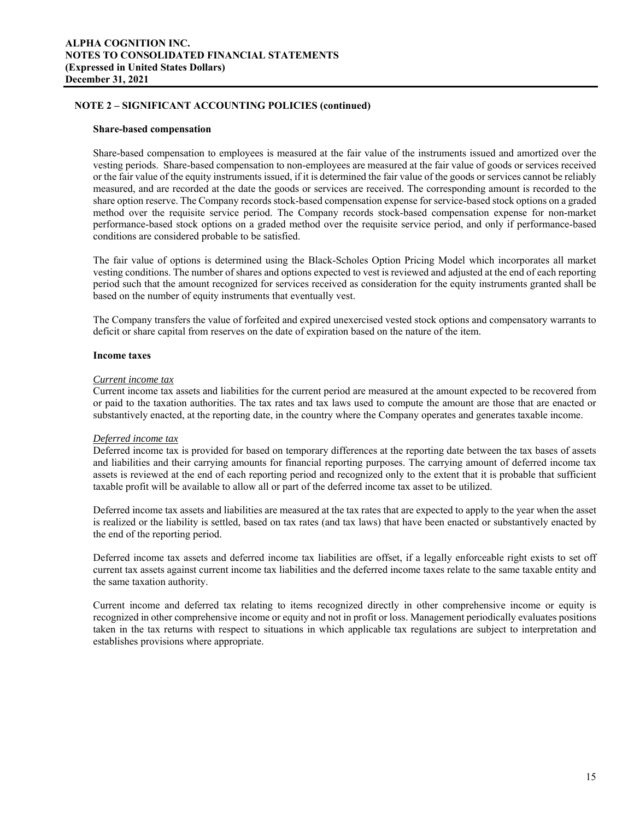#### **Share-based compensation**

Share-based compensation to employees is measured at the fair value of the instruments issued and amortized over the vesting periods. Share-based compensation to non-employees are measured at the fair value of goods or services received or the fair value of the equity instruments issued, if it is determined the fair value of the goods or services cannot be reliably measured, and are recorded at the date the goods or services are received. The corresponding amount is recorded to the share option reserve. The Company records stock-based compensation expense for service-based stock options on a graded method over the requisite service period. The Company records stock-based compensation expense for non-market performance-based stock options on a graded method over the requisite service period, and only if performance-based conditions are considered probable to be satisfied.

The fair value of options is determined using the Black-Scholes Option Pricing Model which incorporates all market vesting conditions. The number of shares and options expected to vest is reviewed and adjusted at the end of each reporting period such that the amount recognized for services received as consideration for the equity instruments granted shall be based on the number of equity instruments that eventually vest.

The Company transfers the value of forfeited and expired unexercised vested stock options and compensatory warrants to deficit or share capital from reserves on the date of expiration based on the nature of the item.

#### **Income taxes**

#### *Current income tax*

Current income tax assets and liabilities for the current period are measured at the amount expected to be recovered from or paid to the taxation authorities. The tax rates and tax laws used to compute the amount are those that are enacted or substantively enacted, at the reporting date, in the country where the Company operates and generates taxable income.

#### *Deferred income tax*

Deferred income tax is provided for based on temporary differences at the reporting date between the tax bases of assets and liabilities and their carrying amounts for financial reporting purposes. The carrying amount of deferred income tax assets is reviewed at the end of each reporting period and recognized only to the extent that it is probable that sufficient taxable profit will be available to allow all or part of the deferred income tax asset to be utilized.

Deferred income tax assets and liabilities are measured at the tax rates that are expected to apply to the year when the asset is realized or the liability is settled, based on tax rates (and tax laws) that have been enacted or substantively enacted by the end of the reporting period.

Deferred income tax assets and deferred income tax liabilities are offset, if a legally enforceable right exists to set off current tax assets against current income tax liabilities and the deferred income taxes relate to the same taxable entity and the same taxation authority.

Current income and deferred tax relating to items recognized directly in other comprehensive income or equity is recognized in other comprehensive income or equity and not in profit or loss. Management periodically evaluates positions taken in the tax returns with respect to situations in which applicable tax regulations are subject to interpretation and establishes provisions where appropriate.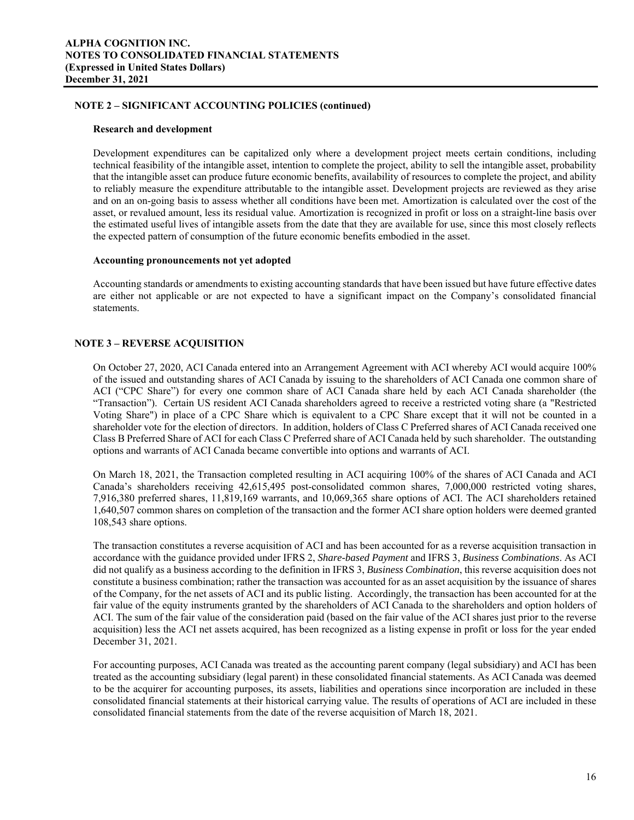#### **Research and development**

Development expenditures can be capitalized only where a development project meets certain conditions, including technical feasibility of the intangible asset, intention to complete the project, ability to sell the intangible asset, probability that the intangible asset can produce future economic benefits, availability of resources to complete the project, and ability to reliably measure the expenditure attributable to the intangible asset. Development projects are reviewed as they arise and on an on-going basis to assess whether all conditions have been met. Amortization is calculated over the cost of the asset, or revalued amount, less its residual value. Amortization is recognized in profit or loss on a straight-line basis over the estimated useful lives of intangible assets from the date that they are available for use, since this most closely reflects the expected pattern of consumption of the future economic benefits embodied in the asset.

#### **Accounting pronouncements not yet adopted**

Accounting standards or amendments to existing accounting standards that have been issued but have future effective dates are either not applicable or are not expected to have a significant impact on the Company's consolidated financial statements.

### **NOTE 3 – REVERSE ACQUISITION**

On October 27, 2020, ACI Canada entered into an Arrangement Agreement with ACI whereby ACI would acquire 100% of the issued and outstanding shares of ACI Canada by issuing to the shareholders of ACI Canada one common share of ACI ("CPC Share") for every one common share of ACI Canada share held by each ACI Canada shareholder (the "Transaction"). Certain US resident ACI Canada shareholders agreed to receive a restricted voting share (a "Restricted Voting Share") in place of a CPC Share which is equivalent to a CPC Share except that it will not be counted in a shareholder vote for the election of directors. In addition, holders of Class C Preferred shares of ACI Canada received one Class B Preferred Share of ACI for each Class C Preferred share of ACI Canada held by such shareholder. The outstanding options and warrants of ACI Canada became convertible into options and warrants of ACI.

On March 18, 2021, the Transaction completed resulting in ACI acquiring 100% of the shares of ACI Canada and ACI Canada's shareholders receiving 42,615,495 post-consolidated common shares, 7,000,000 restricted voting shares, 7,916,380 preferred shares, 11,819,169 warrants, and 10,069,365 share options of ACI. The ACI shareholders retained 1,640,507 common shares on completion of the transaction and the former ACI share option holders were deemed granted 108,543 share options.

The transaction constitutes a reverse acquisition of ACI and has been accounted for as a reverse acquisition transaction in accordance with the guidance provided under IFRS 2, *Share-based Payment* and IFRS 3, *Business Combinations*. As ACI did not qualify as a business according to the definition in IFRS 3, *Business Combination*, this reverse acquisition does not constitute a business combination; rather the transaction was accounted for as an asset acquisition by the issuance of shares of the Company, for the net assets of ACI and its public listing. Accordingly, the transaction has been accounted for at the fair value of the equity instruments granted by the shareholders of ACI Canada to the shareholders and option holders of ACI. The sum of the fair value of the consideration paid (based on the fair value of the ACI shares just prior to the reverse acquisition) less the ACI net assets acquired, has been recognized as a listing expense in profit or loss for the year ended December 31, 2021.

For accounting purposes, ACI Canada was treated as the accounting parent company (legal subsidiary) and ACI has been treated as the accounting subsidiary (legal parent) in these consolidated financial statements. As ACI Canada was deemed to be the acquirer for accounting purposes, its assets, liabilities and operations since incorporation are included in these consolidated financial statements at their historical carrying value. The results of operations of ACI are included in these consolidated financial statements from the date of the reverse acquisition of March 18, 2021.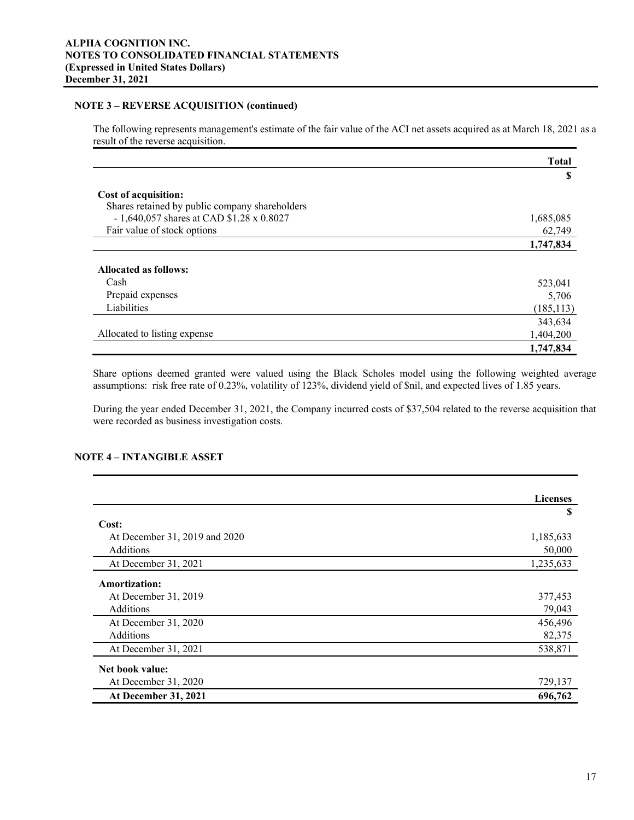### **NOTE 3 – REVERSE ACQUISITION (continued)**

The following represents management's estimate of the fair value of the ACI net assets acquired as at March 18, 2021 as a result of the reverse acquisition.

|                                                | <b>Total</b> |
|------------------------------------------------|--------------|
|                                                | S            |
| Cost of acquisition:                           |              |
| Shares retained by public company shareholders |              |
| - 1,640,057 shares at CAD \$1.28 x 0.8027      | 1,685,085    |
| Fair value of stock options                    | 62,749       |
|                                                | 1,747,834    |
| <b>Allocated as follows:</b>                   |              |
| Cash                                           | 523,041      |
| Prepaid expenses                               | 5,706        |
| Liabilities                                    | (185, 113)   |
|                                                | 343,634      |
| Allocated to listing expense                   | 1,404,200    |
|                                                | 1,747,834    |

Share options deemed granted were valued using the Black Scholes model using the following weighted average assumptions: risk free rate of 0.23%, volatility of 123%, dividend yield of \$nil, and expected lives of 1.85 years.

During the year ended December 31, 2021, the Company incurred costs of \$37,504 related to the reverse acquisition that were recorded as business investigation costs.

### **NOTE 4 – INTANGIBLE ASSET**

|                               | <b>Licenses</b> |
|-------------------------------|-----------------|
|                               | S               |
| Cost:                         |                 |
| At December 31, 2019 and 2020 | 1,185,633       |
| Additions                     | 50,000          |
| At December 31, 2021          | 1,235,633       |
| Amortization:                 |                 |
| At December 31, 2019          | 377,453         |
| Additions                     | 79,043          |
| At December 31, 2020          | 456,496         |
| Additions                     | 82,375          |
| At December 31, 2021          | 538,871         |
| Net book value:               |                 |
| At December 31, 2020          | 729,137         |
| At December 31, 2021          | 696,762         |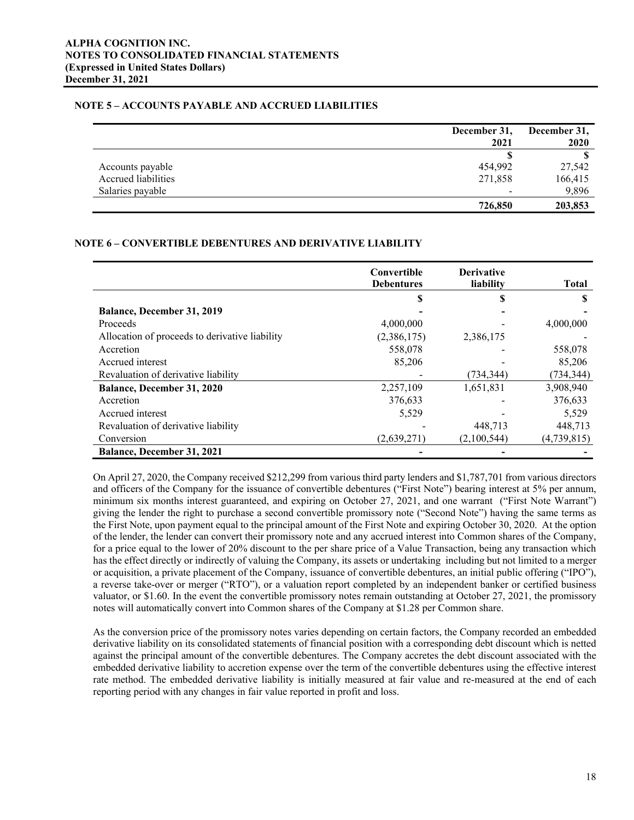### **NOTE 5 – ACCOUNTS PAYABLE AND ACCRUED LIABILITIES**

|                     | December 31, | December 31, |
|---------------------|--------------|--------------|
|                     | 2021         | 2020         |
|                     |              |              |
| Accounts payable    | 454,992      | 27,542       |
| Accrued liabilities | 271,858      | 166,415      |
| Salaries payable    |              | 9,896        |
|                     | 726,850      | 203,853      |

#### **NOTE 6 – CONVERTIBLE DEBENTURES AND DERIVATIVE LIABILITY**

|                                                | Convertible       | <b>Derivative</b> |              |
|------------------------------------------------|-------------------|-------------------|--------------|
|                                                | <b>Debentures</b> | liability         | <b>Total</b> |
|                                                | S                 |                   | S            |
| <b>Balance, December 31, 2019</b>              |                   |                   |              |
| Proceeds                                       | 4,000,000         |                   | 4,000,000    |
| Allocation of proceeds to derivative liability | (2,386,175)       | 2,386,175         |              |
| Accretion                                      | 558,078           |                   | 558,078      |
| Accrued interest                               | 85,206            |                   | 85,206       |
| Revaluation of derivative liability            |                   | (734, 344)        | (734, 344)   |
| <b>Balance, December 31, 2020</b>              | 2,257,109         | 1,651,831         | 3,908,940    |
| Accretion                                      | 376,633           |                   | 376,633      |
| Accrued interest                               | 5,529             |                   | 5,529        |
| Revaluation of derivative liability            |                   | 448.713           | 448,713      |
| Conversion                                     | (2,639,271)       | (2,100,544)       | (4,739,815)  |
| <b>Balance, December 31, 2021</b>              |                   |                   |              |

On April 27, 2020, the Company received \$212,299 from various third party lenders and \$1,787,701 from various directors and officers of the Company for the issuance of convertible debentures ("First Note") bearing interest at 5% per annum, minimum six months interest guaranteed, and expiring on October 27, 2021, and one warrant ("First Note Warrant") giving the lender the right to purchase a second convertible promissory note ("Second Note") having the same terms as the First Note, upon payment equal to the principal amount of the First Note and expiring October 30, 2020. At the option of the lender, the lender can convert their promissory note and any accrued interest into Common shares of the Company, for a price equal to the lower of 20% discount to the per share price of a Value Transaction, being any transaction which has the effect directly or indirectly of valuing the Company, its assets or undertaking including but not limited to a merger or acquisition, a private placement of the Company, issuance of convertible debentures, an initial public offering ("IPO"), a reverse take-over or merger ("RTO"), or a valuation report completed by an independent banker or certified business valuator, or \$1.60. In the event the convertible promissory notes remain outstanding at October 27, 2021, the promissory notes will automatically convert into Common shares of the Company at \$1.28 per Common share.

As the conversion price of the promissory notes varies depending on certain factors, the Company recorded an embedded derivative liability on its consolidated statements of financial position with a corresponding debt discount which is netted against the principal amount of the convertible debentures. The Company accretes the debt discount associated with the embedded derivative liability to accretion expense over the term of the convertible debentures using the effective interest rate method. The embedded derivative liability is initially measured at fair value and re-measured at the end of each reporting period with any changes in fair value reported in profit and loss.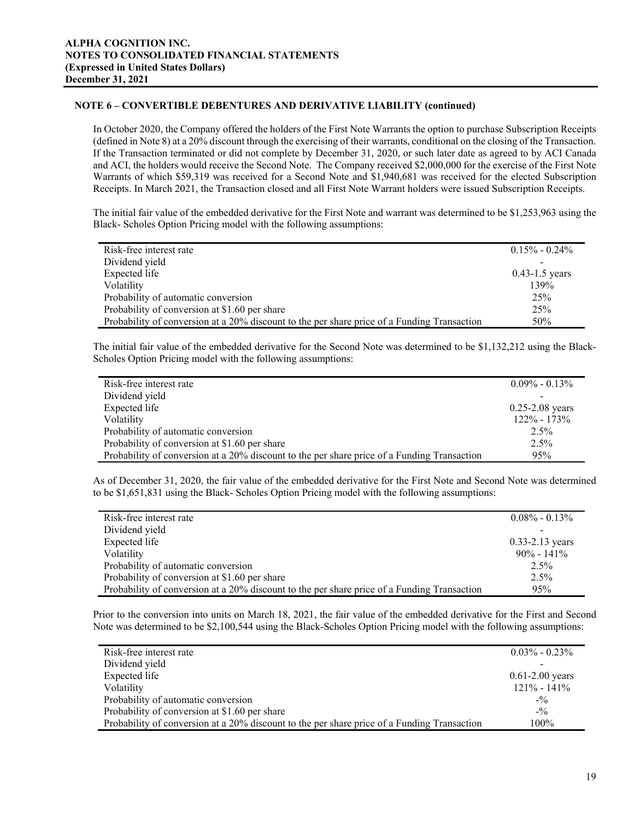### **NOTE 6 – CONVERTIBLE DEBENTURES AND DERIVATIVE LIABILITY (continued)**

In October 2020, the Company offered the holders of the First Note Warrants the option to purchase Subscription Receipts (defined in Note 8) at a 20% discount through the exercising of their warrants, conditional on the closing of the Transaction. If the Transaction terminated or did not complete by December 31, 2020, or such later date as agreed to by ACI Canada and ACI, the holders would receive the Second Note. The Company received \$2,000,000 for the exercise of the First Note Warrants of which \$59,319 was received for a Second Note and \$1,940,681 was received for the elected Subscription Receipts. In March 2021, the Transaction closed and all First Note Warrant holders were issued Subscription Receipts.

The initial fair value of the embedded derivative for the First Note and warrant was determined to be \$1,253,963 using the Black- Scholes Option Pricing model with the following assumptions:

| Risk-free interest rate                                                                     | $0.15\% - 0.24\%$  |
|---------------------------------------------------------------------------------------------|--------------------|
| Dividend yield                                                                              |                    |
| Expected life                                                                               | $0.43 - 1.5$ years |
| Volatility                                                                                  | 139%               |
| Probability of automatic conversion                                                         | 25%                |
| Probability of conversion at \$1.60 per share                                               | 25%                |
| Probability of conversion at a 20% discount to the per share price of a Funding Transaction | 50%                |

The initial fair value of the embedded derivative for the Second Note was determined to be \$1,132,212 using the Black-Scholes Option Pricing model with the following assumptions:

| Risk-free interest rate                                                                     | $0.09\%$ - $0.13\%$ |
|---------------------------------------------------------------------------------------------|---------------------|
| Dividend yield                                                                              |                     |
| Expected life                                                                               | $0.25 - 2.08$ years |
| <b>V</b> olatility                                                                          | $122\% - 173\%$     |
| Probability of automatic conversion                                                         | $2.5\%$             |
| Probability of conversion at \$1.60 per share                                               | $2.5\%$             |
| Probability of conversion at a 20% discount to the per share price of a Funding Transaction | 95%                 |

As of December 31, 2020, the fair value of the embedded derivative for the First Note and Second Note was determined to be \$1,651,831 using the Black- Scholes Option Pricing model with the following assumptions:

| Risk-free interest rate                                                                     | $0.08\%$ - $0.13\%$ |
|---------------------------------------------------------------------------------------------|---------------------|
| Dividend yield                                                                              |                     |
| Expected life                                                                               | $0.33 - 2.13$ years |
| <b>V</b> olatility                                                                          | $90\% - 141\%$      |
| Probability of automatic conversion                                                         | $2.5\%$             |
| Probability of conversion at \$1.60 per share                                               | $2.5\%$             |
| Probability of conversion at a 20% discount to the per share price of a Funding Transaction | 95%                 |

Prior to the conversion into units on March 18, 2021, the fair value of the embedded derivative for the First and Second Note was determined to be \$2,100,544 using the Black-Scholes Option Pricing model with the following assumptions:

| Risk-free interest rate                                                                     | $0.03\% - 0.23\%$   |
|---------------------------------------------------------------------------------------------|---------------------|
| Dividend yield                                                                              |                     |
| Expected life                                                                               | $0.61 - 2.00$ years |
| Volatility                                                                                  | $121\% - 141\%$     |
| Probability of automatic conversion                                                         | $- \frac{0}{2}$     |
| Probability of conversion at \$1.60 per share                                               | $-1/2$              |
| Probability of conversion at a 20% discount to the per share price of a Funding Transaction | $100\%$             |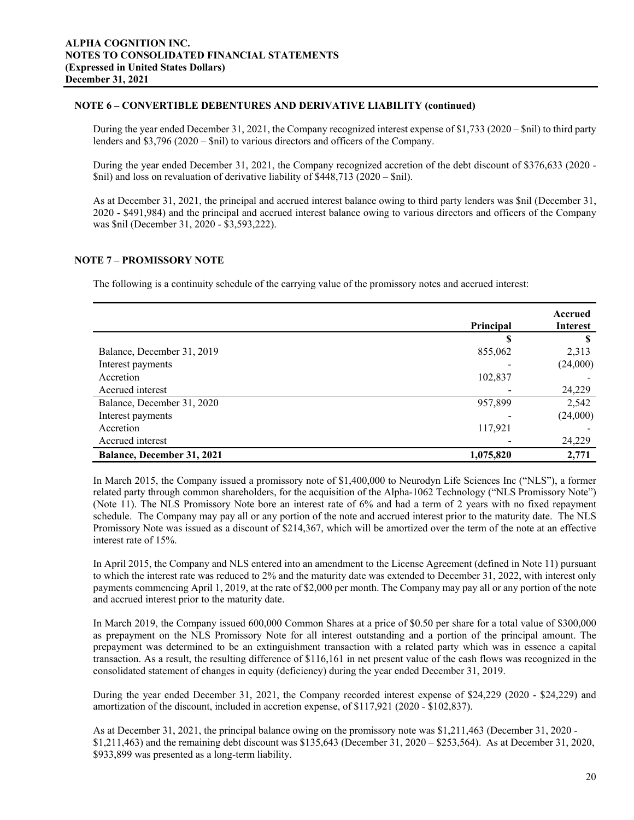### **NOTE 6 – CONVERTIBLE DEBENTURES AND DERIVATIVE LIABILITY (continued)**

During the year ended December 31, 2021, the Company recognized interest expense of \$1,733 (2020 – \$nil) to third party lenders and \$3,796 (2020 – \$nil) to various directors and officers of the Company.

During the year ended December 31, 2021, the Company recognized accretion of the debt discount of \$376,633 (2020 - \$nil) and loss on revaluation of derivative liability of \$448,713 (2020 – \$nil).

As at December 31, 2021, the principal and accrued interest balance owing to third party lenders was \$nil (December 31, 2020 - \$491,984) and the principal and accrued interest balance owing to various directors and officers of the Company was \$nil (December 31, 2020 - \$3,593,222).

### **NOTE 7 – PROMISSORY NOTE**

The following is a continuity schedule of the carrying value of the promissory notes and accrued interest:

|                            | Principal | Accrued<br><b>Interest</b> |
|----------------------------|-----------|----------------------------|
|                            | S         |                            |
| Balance, December 31, 2019 | 855,062   | 2,313                      |
| Interest payments          |           | (24,000)                   |
| Accretion                  | 102,837   |                            |
| Accrued interest           |           | 24,229                     |
| Balance, December 31, 2020 | 957,899   | 2,542                      |
| Interest payments          |           | (24,000)                   |
| Accretion                  | 117,921   |                            |
| Accrued interest           |           | 24,229                     |
| Balance, December 31, 2021 | 1,075,820 | 2,771                      |

In March 2015, the Company issued a promissory note of \$1,400,000 to Neurodyn Life Sciences Inc ("NLS"), a former related party through common shareholders, for the acquisition of the Alpha-1062 Technology ("NLS Promissory Note") (Note 11). The NLS Promissory Note bore an interest rate of 6% and had a term of 2 years with no fixed repayment schedule. The Company may pay all or any portion of the note and accrued interest prior to the maturity date. The NLS Promissory Note was issued as a discount of \$214,367, which will be amortized over the term of the note at an effective interest rate of 15%.

In April 2015, the Company and NLS entered into an amendment to the License Agreement (defined in Note 11) pursuant to which the interest rate was reduced to 2% and the maturity date was extended to December 31, 2022, with interest only payments commencing April 1, 2019, at the rate of \$2,000 per month. The Company may pay all or any portion of the note and accrued interest prior to the maturity date.

In March 2019, the Company issued 600,000 Common Shares at a price of \$0.50 per share for a total value of \$300,000 as prepayment on the NLS Promissory Note for all interest outstanding and a portion of the principal amount. The prepayment was determined to be an extinguishment transaction with a related party which was in essence a capital transaction. As a result, the resulting difference of \$116,161 in net present value of the cash flows was recognized in the consolidated statement of changes in equity (deficiency) during the year ended December 31, 2019.

During the year ended December 31, 2021, the Company recorded interest expense of \$24,229 (2020 - \$24,229) and amortization of the discount, included in accretion expense, of \$117,921 (2020 - \$102,837).

As at December 31, 2021, the principal balance owing on the promissory note was \$1,211,463 (December 31, 2020 - \$1,211,463) and the remaining debt discount was \$135,643 (December 31, 2020 – \$253,564). As at December 31, 2020, \$933,899 was presented as a long-term liability.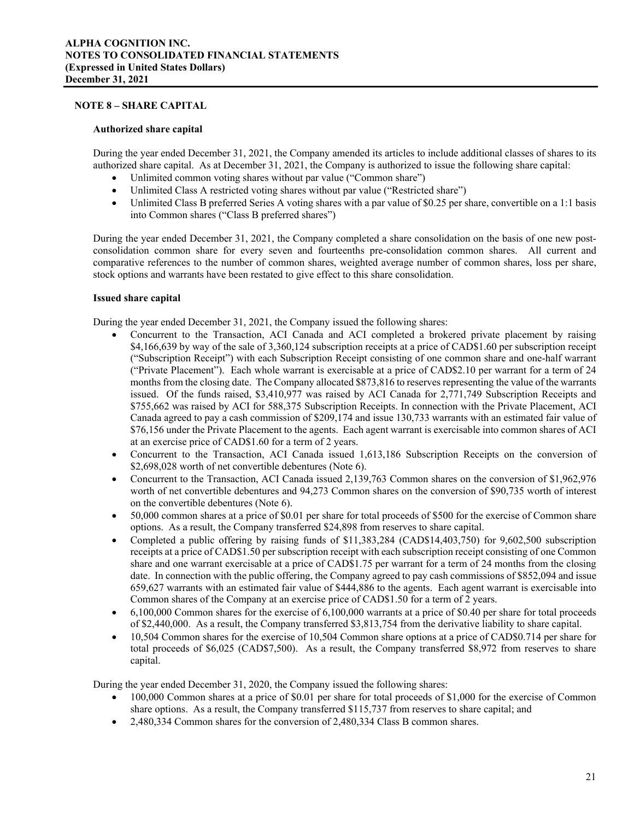### **NOTE 8 – SHARE CAPITAL**

#### **Authorized share capital**

During the year ended December 31, 2021, the Company amended its articles to include additional classes of shares to its authorized share capital. As at December 31, 2021, the Company is authorized to issue the following share capital:

- Unlimited common voting shares without par value ("Common share")
- Unlimited Class A restricted voting shares without par value ("Restricted share")
- Unlimited Class B preferred Series A voting shares with a par value of \$0.25 per share, convertible on a 1:1 basis into Common shares ("Class B preferred shares")

During the year ended December 31, 2021, the Company completed a share consolidation on the basis of one new postconsolidation common share for every seven and fourteenths pre-consolidation common shares. All current and comparative references to the number of common shares, weighted average number of common shares, loss per share, stock options and warrants have been restated to give effect to this share consolidation.

#### **Issued share capital**

During the year ended December 31, 2021, the Company issued the following shares:

- Concurrent to the Transaction, ACI Canada and ACI completed a brokered private placement by raising \$4,166,639 by way of the sale of 3,360,124 subscription receipts at a price of CAD\$1.60 per subscription receipt ("Subscription Receipt") with each Subscription Receipt consisting of one common share and one-half warrant ("Private Placement"). Each whole warrant is exercisable at a price of CAD\$2.10 per warrant for a term of 24 months from the closing date. The Company allocated \$873,816 to reserves representing the value of the warrants issued. Of the funds raised, \$3,410,977 was raised by ACI Canada for 2,771,749 Subscription Receipts and \$755,662 was raised by ACI for 588,375 Subscription Receipts. In connection with the Private Placement, ACI Canada agreed to pay a cash commission of \$209,174 and issue 130,733 warrants with an estimated fair value of \$76,156 under the Private Placement to the agents. Each agent warrant is exercisable into common shares of ACI at an exercise price of CAD\$1.60 for a term of 2 years.
- Concurrent to the Transaction, ACI Canada issued 1,613,186 Subscription Receipts on the conversion of \$2,698,028 worth of net convertible debentures (Note 6).
- Concurrent to the Transaction, ACI Canada issued 2,139,763 Common shares on the conversion of \$1,962,976 worth of net convertible debentures and 94,273 Common shares on the conversion of \$90,735 worth of interest on the convertible debentures (Note 6).
- 50,000 common shares at a price of \$0.01 per share for total proceeds of \$500 for the exercise of Common share options. As a result, the Company transferred \$24,898 from reserves to share capital.
- Completed a public offering by raising funds of \$11,383,284 (CAD\$14,403,750) for 9,602,500 subscription receipts at a price of CAD\$1.50 per subscription receipt with each subscription receipt consisting of one Common share and one warrant exercisable at a price of CAD\$1.75 per warrant for a term of 24 months from the closing date. In connection with the public offering, the Company agreed to pay cash commissions of \$852,094 and issue 659,627 warrants with an estimated fair value of \$444,886 to the agents. Each agent warrant is exercisable into Common shares of the Company at an exercise price of CAD\$1.50 for a term of 2 years.
- $6,100,000$  Common shares for the exercise of  $6,100,000$  warrants at a price of \$0.40 per share for total proceeds of \$2,440,000. As a result, the Company transferred \$3,813,754 from the derivative liability to share capital.
- 10,504 Common shares for the exercise of 10,504 Common share options at a price of CAD\$0.714 per share for total proceeds of \$6,025 (CAD\$7,500). As a result, the Company transferred \$8,972 from reserves to share capital.

During the year ended December 31, 2020, the Company issued the following shares:

- 100,000 Common shares at a price of \$0.01 per share for total proceeds of \$1,000 for the exercise of Common share options. As a result, the Company transferred \$115,737 from reserves to share capital; and
- 2,480,334 Common shares for the conversion of 2,480,334 Class B common shares.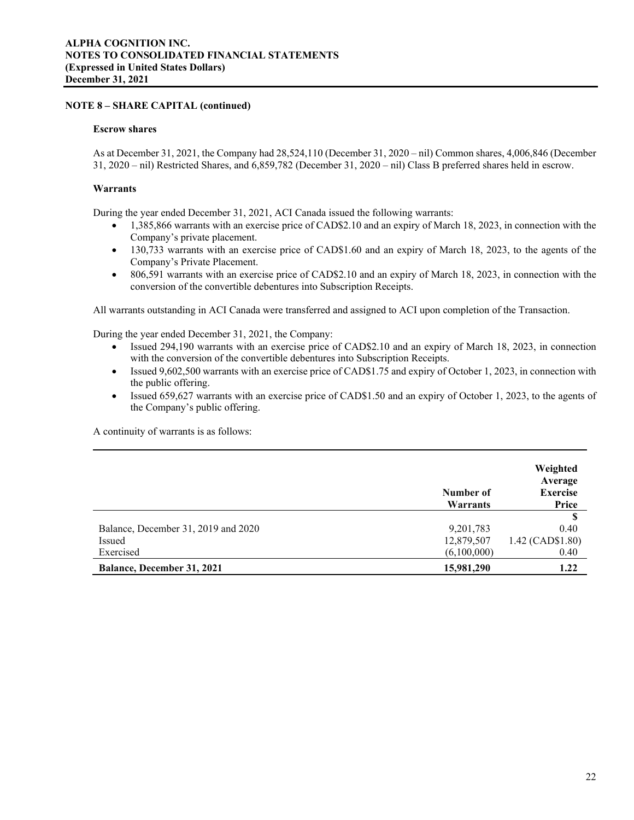#### **Escrow shares**

As at December 31, 2021, the Company had 28,524,110 (December 31, 2020 – nil) Common shares, 4,006,846 (December 31, 2020 – nil) Restricted Shares, and 6,859,782 (December 31, 2020 – nil) Class B preferred shares held in escrow.

#### **Warrants**

During the year ended December 31, 2021, ACI Canada issued the following warrants:

- 1,385,866 warrants with an exercise price of CAD\$2.10 and an expiry of March 18, 2023, in connection with the Company's private placement.
- 130,733 warrants with an exercise price of CAD\$1.60 and an expiry of March 18, 2023, to the agents of the Company's Private Placement.
- 806,591 warrants with an exercise price of CAD\$2.10 and an expiry of March 18, 2023, in connection with the conversion of the convertible debentures into Subscription Receipts.

All warrants outstanding in ACI Canada were transferred and assigned to ACI upon completion of the Transaction.

During the year ended December 31, 2021, the Company:

- Issued 294,190 warrants with an exercise price of CAD\$2.10 and an expiry of March 18, 2023, in connection with the conversion of the convertible debentures into Subscription Receipts.
- Issued 9,602,500 warrants with an exercise price of CAD\$1.75 and expiry of October 1, 2023, in connection with the public offering.
- Issued 659,627 warrants with an exercise price of CAD\$1.50 and an expiry of October 1, 2023, to the agents of the Company's public offering.

A continuity of warrants is as follows:

|                                     | Number of<br>Warrants | Weighted<br>Average<br><b>Exercise</b><br>Price |
|-------------------------------------|-----------------------|-------------------------------------------------|
|                                     |                       | S                                               |
| Balance, December 31, 2019 and 2020 | 9,201,783             | 0.40                                            |
| Issued                              | 12,879,507            | 1.42 (CAD\$1.80)                                |
| Exercised                           | (6,100,000)           | 0.40                                            |
| <b>Balance, December 31, 2021</b>   | 15,981,290            | 1.22                                            |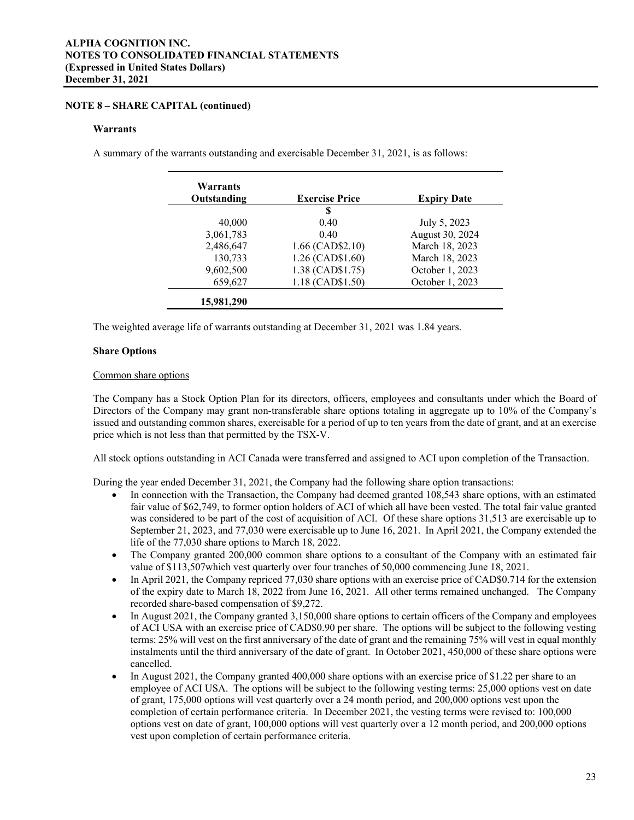#### **Warrants**

A summary of the warrants outstanding and exercisable December 31, 2021, is as follows:

| Warrants<br>Outstanding | <b>Exercise Price</b> | <b>Expiry Date</b> |
|-------------------------|-----------------------|--------------------|
|                         | S                     |                    |
| 40,000                  | 0.40                  | July 5, 2023       |
| 3,061,783               | 0.40                  | August 30, 2024    |
| 2,486,647               | 1.66 (CAD\$2.10)      | March 18, 2023     |
| 130,733                 | 1.26 (CAD\$1.60)      | March 18, 2023     |
| 9,602,500               | 1.38 (CAD\$1.75)      | October 1, 2023    |
| 659,627                 | 1.18 (CAD\$1.50)      | October 1, 2023    |
| 15,981,290              |                       |                    |

The weighted average life of warrants outstanding at December 31, 2021 was 1.84 years.

### **Share Options**

#### Common share options

The Company has a Stock Option Plan for its directors, officers, employees and consultants under which the Board of Directors of the Company may grant non-transferable share options totaling in aggregate up to 10% of the Company's issued and outstanding common shares, exercisable for a period of up to ten years from the date of grant, and at an exercise price which is not less than that permitted by the TSX-V.

All stock options outstanding in ACI Canada were transferred and assigned to ACI upon completion of the Transaction.

During the year ended December 31, 2021, the Company had the following share option transactions:

- In connection with the Transaction, the Company had deemed granted 108,543 share options, with an estimated fair value of \$62,749, to former option holders of ACI of which all have been vested. The total fair value granted was considered to be part of the cost of acquisition of ACI. Of these share options 31,513 are exercisable up to September 21, 2023, and 77,030 were exercisable up to June 16, 2021. In April 2021, the Company extended the life of the 77,030 share options to March 18, 2022.
- The Company granted 200,000 common share options to a consultant of the Company with an estimated fair value of \$113,507which vest quarterly over four tranches of 50,000 commencing June 18, 2021.
- In April 2021, the Company repriced 77,030 share options with an exercise price of CAD\$0.714 for the extension of the expiry date to March 18, 2022 from June 16, 2021. All other terms remained unchanged. The Company recorded share-based compensation of \$9,272.
- In August 2021, the Company granted 3,150,000 share options to certain officers of the Company and employees of ACI USA with an exercise price of CAD\$0.90 per share. The options will be subject to the following vesting terms: 25% will vest on the first anniversary of the date of grant and the remaining 75% will vest in equal monthly instalments until the third anniversary of the date of grant. In October 2021, 450,000 of these share options were cancelled.
- In August 2021, the Company granted 400,000 share options with an exercise price of \$1.22 per share to an employee of ACI USA. The options will be subject to the following vesting terms: 25,000 options vest on date of grant, 175,000 options will vest quarterly over a 24 month period, and 200,000 options vest upon the completion of certain performance criteria. In December 2021, the vesting terms were revised to: 100,000 options vest on date of grant, 100,000 options will vest quarterly over a 12 month period, and 200,000 options vest upon completion of certain performance criteria.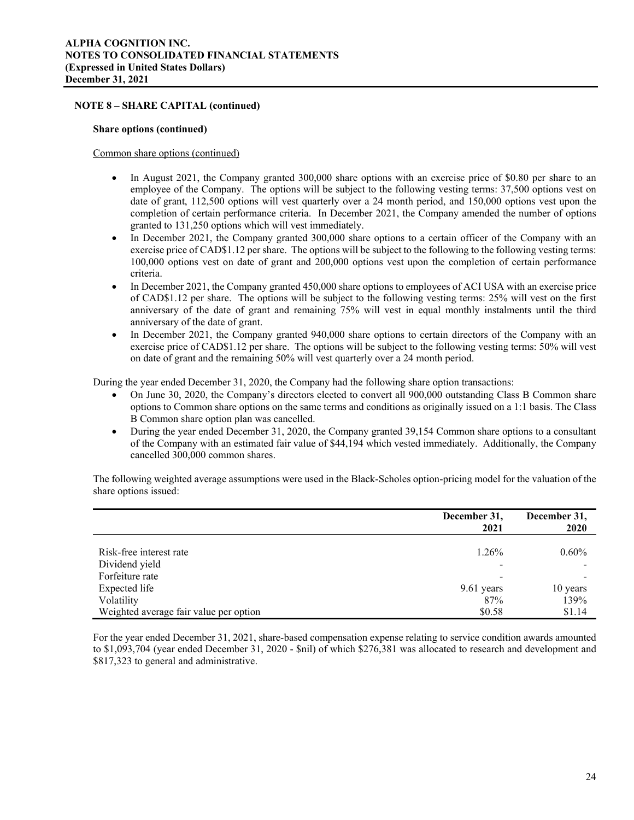#### **Share options (continued)**

### Common share options (continued)

- In August 2021, the Company granted 300,000 share options with an exercise price of \$0.80 per share to an employee of the Company. The options will be subject to the following vesting terms: 37,500 options vest on date of grant, 112,500 options will vest quarterly over a 24 month period, and 150,000 options vest upon the completion of certain performance criteria. In December 2021, the Company amended the number of options granted to 131,250 options which will vest immediately.
- In December 2021, the Company granted 300,000 share options to a certain officer of the Company with an exercise price of CAD\$1.12 per share. The options will be subject to the following to the following vesting terms: 100,000 options vest on date of grant and 200,000 options vest upon the completion of certain performance criteria.
- In December 2021, the Company granted 450,000 share options to employees of ACI USA with an exercise price of CAD\$1.12 per share. The options will be subject to the following vesting terms: 25% will vest on the first anniversary of the date of grant and remaining 75% will vest in equal monthly instalments until the third anniversary of the date of grant.
- In December 2021, the Company granted 940,000 share options to certain directors of the Company with an exercise price of CAD\$1.12 per share. The options will be subject to the following vesting terms: 50% will vest on date of grant and the remaining 50% will vest quarterly over a 24 month period.

During the year ended December 31, 2020, the Company had the following share option transactions:

- On June 30, 2020, the Company's directors elected to convert all 900,000 outstanding Class B Common share options to Common share options on the same terms and conditions as originally issued on a 1:1 basis. The Class B Common share option plan was cancelled.
- During the year ended December 31, 2020, the Company granted 39,154 Common share options to a consultant of the Company with an estimated fair value of \$44,194 which vested immediately. Additionally, the Company cancelled 300,000 common shares.

The following weighted average assumptions were used in the Black-Scholes option-pricing model for the valuation of the share options issued:

|                                        | December 31,<br>2021 | December 31,<br><b>2020</b> |
|----------------------------------------|----------------------|-----------------------------|
| Risk-free interest rate                | $1.26\%$             | $0.60\%$                    |
| Dividend yield                         | -                    |                             |
| Forfeiture rate                        | -                    |                             |
| Expected life                          | 9.61 years           | 10 years                    |
| Volatility                             | 87%                  | 139%                        |
| Weighted average fair value per option | \$0.58               | \$1.14                      |

For the year ended December 31, 2021, share-based compensation expense relating to service condition awards amounted to \$1,093,704 (year ended December 31, 2020 - \$nil) of which \$276,381 was allocated to research and development and \$817,323 to general and administrative.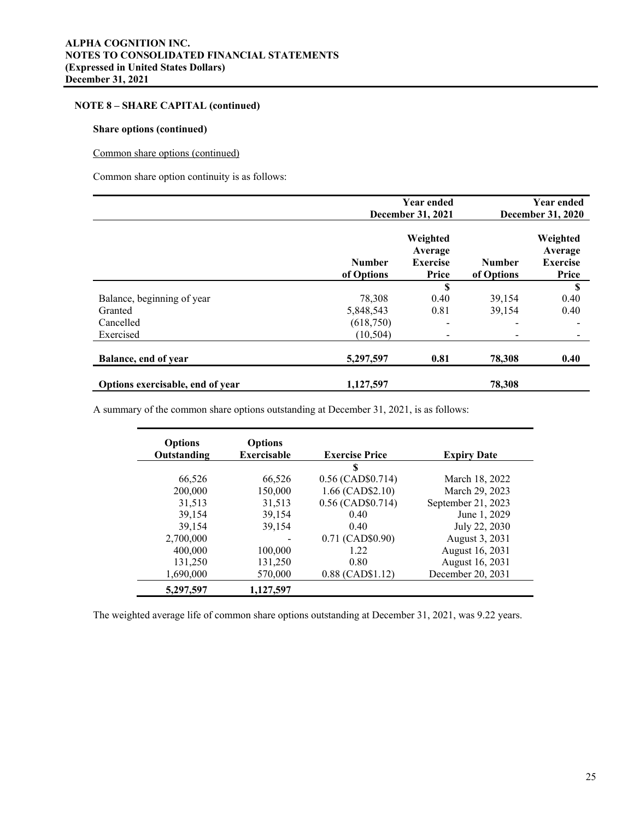### **Share options (continued)**

Common share options (continued)

Common share option continuity is as follows:

|                                  | <b>Year ended</b><br><b>December 31, 2021</b> |                                                 | <b>Year ended</b><br><b>December 31, 2020</b> |                                                 |
|----------------------------------|-----------------------------------------------|-------------------------------------------------|-----------------------------------------------|-------------------------------------------------|
|                                  | <b>Number</b><br>of Options                   | Weighted<br>Average<br><b>Exercise</b><br>Price | <b>Number</b><br>of Options                   | Weighted<br>Average<br><b>Exercise</b><br>Price |
|                                  |                                               | S                                               |                                               | \$                                              |
| Balance, beginning of year       | 78,308                                        | 0.40                                            | 39,154                                        | 0.40                                            |
| Granted                          | 5,848,543                                     | 0.81                                            | 39,154                                        | 0.40                                            |
| Cancelled                        | (618,750)                                     | $\overline{\phantom{0}}$                        |                                               |                                                 |
| Exercised                        | (10, 504)                                     |                                                 |                                               |                                                 |
| <b>Balance, end of year</b>      | 5,297,597                                     | 0.81                                            | 78,308                                        | 0.40                                            |
|                                  |                                               |                                                 |                                               |                                                 |
| Options exercisable, end of year | 1,127,597                                     |                                                 | 78,308                                        |                                                 |

A summary of the common share options outstanding at December 31, 2021, is as follows:

| <b>Options</b><br>Outstanding | <b>Options</b><br><b>Exercisable</b> | <b>Exercise Price</b> | <b>Expiry Date</b> |
|-------------------------------|--------------------------------------|-----------------------|--------------------|
|                               |                                      | S                     |                    |
| 66,526                        | 66,526                               | 0.56 (CAD\$0.714)     | March 18, 2022     |
| 200,000                       | 150,000                              | 1.66 (CAD\$2.10)      | March 29, 2023     |
| 31,513                        | 31,513                               | 0.56 (CAD\$0.714)     | September 21, 2023 |
| 39,154                        | 39,154                               | 0.40                  | June 1, 2029       |
| 39,154                        | 39,154                               | 0.40                  | July 22, 2030      |
| 2,700,000                     |                                      | 0.71 (CAD\$0.90)      | August 3, 2031     |
| 400,000                       | 100,000                              | 1.22                  | August 16, 2031    |
| 131,250                       | 131,250                              | 0.80                  | August 16, 2031    |
| 1,690,000                     | 570,000                              | $0.88$ (CAD\$1.12)    | December 20, 2031  |
| 5,297,597                     | 1,127,597                            |                       |                    |

The weighted average life of common share options outstanding at December 31, 2021, was 9.22 years.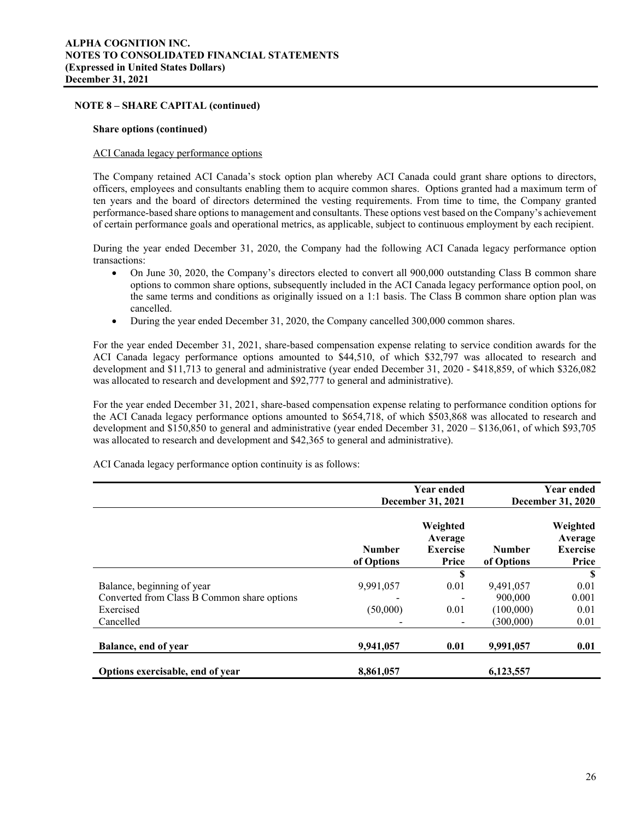#### **Share options (continued)**

#### ACI Canada legacy performance options

The Company retained ACI Canada's stock option plan whereby ACI Canada could grant share options to directors, officers, employees and consultants enabling them to acquire common shares. Options granted had a maximum term of ten years and the board of directors determined the vesting requirements. From time to time, the Company granted performance-based share options to management and consultants. These options vest based on the Company's achievement of certain performance goals and operational metrics, as applicable, subject to continuous employment by each recipient.

During the year ended December 31, 2020, the Company had the following ACI Canada legacy performance option transactions:

- On June 30, 2020, the Company's directors elected to convert all 900,000 outstanding Class B common share options to common share options, subsequently included in the ACI Canada legacy performance option pool, on the same terms and conditions as originally issued on a 1:1 basis. The Class B common share option plan was cancelled.
- During the year ended December 31, 2020, the Company cancelled 300,000 common shares.

For the year ended December 31, 2021, share-based compensation expense relating to service condition awards for the ACI Canada legacy performance options amounted to \$44,510, of which \$32,797 was allocated to research and development and \$11,713 to general and administrative (year ended December 31, 2020 - \$418,859, of which \$326,082 was allocated to research and development and \$92,777 to general and administrative).

For the year ended December 31, 2021, share-based compensation expense relating to performance condition options for the ACI Canada legacy performance options amounted to \$654,718, of which \$503,868 was allocated to research and development and \$150,850 to general and administrative (year ended December 31, 2020 – \$136,061, of which \$93,705 was allocated to research and development and \$42,365 to general and administrative).

|                                             |                             | <b>Year ended</b>                               |                             | <b>Year ended</b>                               |
|---------------------------------------------|-----------------------------|-------------------------------------------------|-----------------------------|-------------------------------------------------|
|                                             |                             | <b>December 31, 2021</b>                        | <b>December 31, 2020</b>    |                                                 |
|                                             | <b>Number</b><br>of Options | Weighted<br>Average<br><b>Exercise</b><br>Price | <b>Number</b><br>of Options | Weighted<br>Average<br><b>Exercise</b><br>Price |
|                                             |                             | S                                               |                             | S                                               |
| Balance, beginning of year                  | 9,991,057                   | 0.01                                            | 9,491,057                   | 0.01                                            |
| Converted from Class B Common share options |                             |                                                 | 900,000                     | 0.001                                           |
| Exercised                                   | (50,000)                    | 0.01                                            | (100,000)                   | 0.01                                            |
| Cancelled                                   |                             | $\overline{\phantom{a}}$                        | (300,000)                   | 0.01                                            |
| Balance, end of year                        | 9,941,057                   | 0.01                                            | 9,991,057                   | 0.01                                            |
| Options exercisable, end of year            | 8,861,057                   |                                                 | 6,123,557                   |                                                 |

ACI Canada legacy performance option continuity is as follows: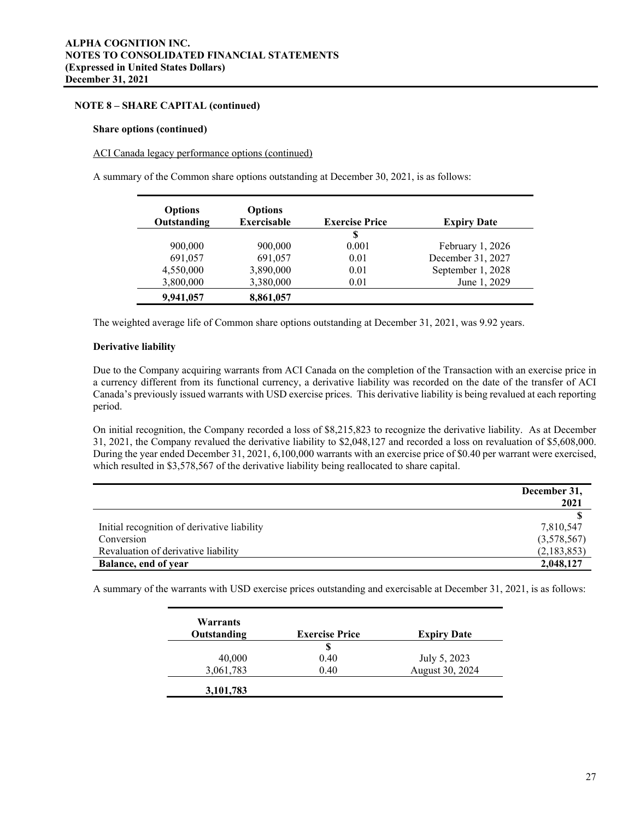#### **Share options (continued)**

### ACI Canada legacy performance options (continued)

A summary of the Common share options outstanding at December 30, 2021, is as follows:

| <b>Options</b><br>Outstanding | <b>Options</b><br><b>Exercisable</b> | <b>Exercise Price</b> |                    |
|-------------------------------|--------------------------------------|-----------------------|--------------------|
|                               |                                      | S                     | <b>Expiry Date</b> |
| 900,000                       | 900,000                              | 0.001                 | February 1, 2026   |
| 691,057                       | 691,057                              | 0.01                  | December 31, 2027  |
| 4,550,000                     | 3,890,000                            | 0.01                  | September 1, 2028  |
| 3,800,000                     | 3,380,000                            | 0.01                  | June 1, 2029       |
| 9,941,057                     | 8,861,057                            |                       |                    |

The weighted average life of Common share options outstanding at December 31, 2021, was 9.92 years.

### **Derivative liability**

Due to the Company acquiring warrants from ACI Canada on the completion of the Transaction with an exercise price in a currency different from its functional currency, a derivative liability was recorded on the date of the transfer of ACI Canada's previously issued warrants with USD exercise prices. This derivative liability is being revalued at each reporting period.

On initial recognition, the Company recorded a loss of \$8,215,823 to recognize the derivative liability. As at December 31, 2021, the Company revalued the derivative liability to \$2,048,127 and recorded a loss on revaluation of \$5,608,000. During the year ended December 31, 2021, 6,100,000 warrants with an exercise price of \$0.40 per warrant were exercised, which resulted in \$3,578,567 of the derivative liability being reallocated to share capital.

|                                             | December 31, |
|---------------------------------------------|--------------|
|                                             | 2021         |
|                                             |              |
| Initial recognition of derivative liability | 7,810,547    |
| Conversion                                  | (3,578,567)  |
| Revaluation of derivative liability         | (2,183,853)  |
| Balance, end of year                        | 2,048,127    |

A summary of the warrants with USD exercise prices outstanding and exercisable at December 31, 2021, is as follows:

| Warrants<br>Outstanding | <b>Exercise Price</b> | <b>Expiry Date</b> |
|-------------------------|-----------------------|--------------------|
|                         | S                     |                    |
| 40,000                  | 0.40                  | July 5, 2023       |
| 3,061,783               | 0.40                  | August 30, 2024    |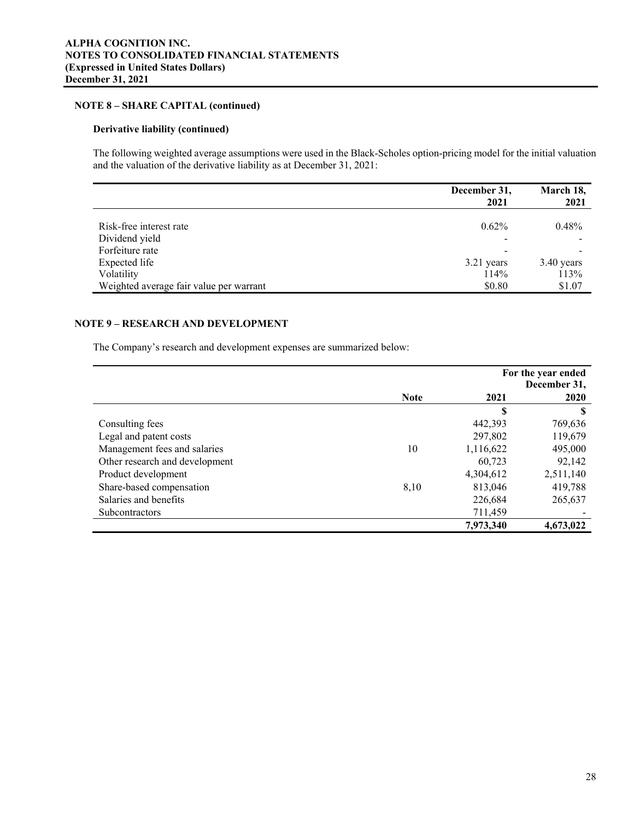### **Derivative liability (continued)**

The following weighted average assumptions were used in the Black-Scholes option-pricing model for the initial valuation and the valuation of the derivative liability as at December 31, 2021:

|                                         | December 31,<br>2021 | March 18,<br>2021 |
|-----------------------------------------|----------------------|-------------------|
| Risk-free interest rate                 | 0.62%                | 0.48%             |
| Dividend yield                          |                      |                   |
| Forfeiture rate                         |                      |                   |
| Expected life                           | 3.21 years           | $3.40$ years      |
| Volatility                              | 114%                 | 113%              |
| Weighted average fair value per warrant | \$0.80               | \$1.07            |

### **NOTE 9 – RESEARCH AND DEVELOPMENT**

The Company's research and development expenses are summarized below:

|                                |             |           | For the year ended<br>December 31, |
|--------------------------------|-------------|-----------|------------------------------------|
|                                | <b>Note</b> | 2021      | 2020                               |
|                                |             | S         | S                                  |
| Consulting fees                |             | 442,393   | 769,636                            |
| Legal and patent costs         |             | 297,802   | 119,679                            |
| Management fees and salaries   | 10          | 1,116,622 | 495,000                            |
| Other research and development |             | 60,723    | 92,142                             |
| Product development            |             | 4,304,612 | 2,511,140                          |
| Share-based compensation       | 8,10        | 813,046   | 419,788                            |
| Salaries and benefits          |             | 226,684   | 265,637                            |
| Subcontractors                 |             | 711,459   |                                    |
|                                |             | 7,973,340 | 4,673,022                          |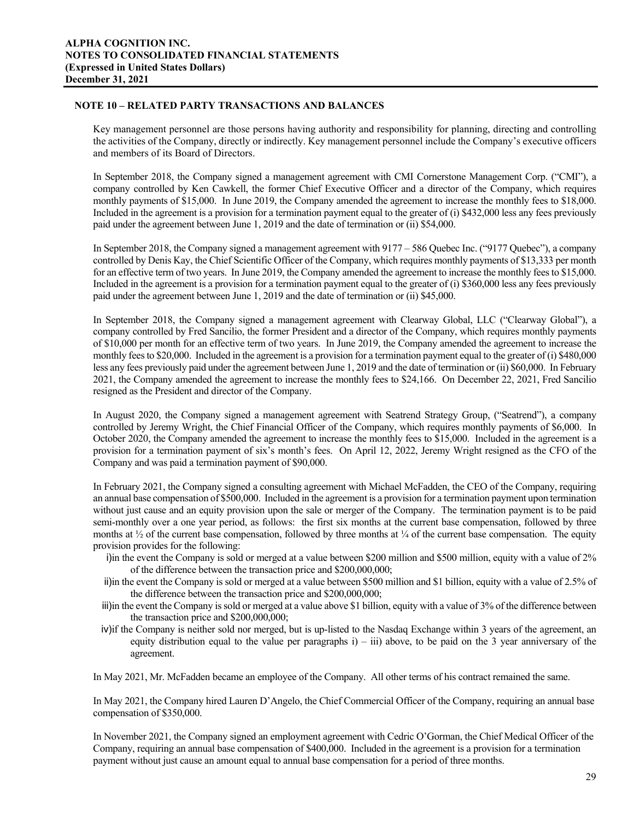### **NOTE 10 – RELATED PARTY TRANSACTIONS AND BALANCES**

Key management personnel are those persons having authority and responsibility for planning, directing and controlling the activities of the Company, directly or indirectly. Key management personnel include the Company's executive officers and members of its Board of Directors.

In September 2018, the Company signed a management agreement with CMI Cornerstone Management Corp. ("CMI"), a company controlled by Ken Cawkell, the former Chief Executive Officer and a director of the Company, which requires monthly payments of \$15,000. In June 2019, the Company amended the agreement to increase the monthly fees to \$18,000. Included in the agreement is a provision for a termination payment equal to the greater of (i) \$432,000 less any fees previously paid under the agreement between June 1, 2019 and the date of termination or (ii) \$54,000.

In September 2018, the Company signed a management agreement with 9177 – 586 Quebec Inc. ("9177 Quebec"), a company controlled by Denis Kay, the Chief Scientific Officer of the Company, which requires monthly payments of \$13,333 per month for an effective term of two years. In June 2019, the Company amended the agreement to increase the monthly fees to \$15,000. Included in the agreement is a provision for a termination payment equal to the greater of (i) \$360,000 less any fees previously paid under the agreement between June 1, 2019 and the date of termination or (ii) \$45,000.

In September 2018, the Company signed a management agreement with Clearway Global, LLC ("Clearway Global"), a company controlled by Fred Sancilio, the former President and a director of the Company, which requires monthly payments of \$10,000 per month for an effective term of two years. In June 2019, the Company amended the agreement to increase the monthly fees to \$20,000. Included in the agreement is a provision for a termination payment equal to the greater of (i) \$480,000 less any fees previously paid under the agreement between June 1, 2019 and the date of termination or (ii) \$60,000. In February 2021, the Company amended the agreement to increase the monthly fees to \$24,166. On December 22, 2021, Fred Sancilio resigned as the President and director of the Company.

In August 2020, the Company signed a management agreement with Seatrend Strategy Group, ("Seatrend"), a company controlled by Jeremy Wright, the Chief Financial Officer of the Company, which requires monthly payments of \$6,000. In October 2020, the Company amended the agreement to increase the monthly fees to \$15,000. Included in the agreement is a provision for a termination payment of six's month's fees. On April 12, 2022, Jeremy Wright resigned as the CFO of the Company and was paid a termination payment of \$90,000.

In February 2021, the Company signed a consulting agreement with Michael McFadden, the CEO of the Company, requiring an annual base compensation of \$500,000. Included in the agreement is a provision for a termination payment upon termination without just cause and an equity provision upon the sale or merger of the Company. The termination payment is to be paid semi-monthly over a one year period, as follows: the first six months at the current base compensation, followed by three months at  $\frac{1}{2}$  of the current base compensation, followed by three months at  $\frac{1}{4}$  of the current base compensation. The equity provision provides for the following:

- i)in the event the Company is sold or merged at a value between \$200 million and \$500 million, equity with a value of 2% of the difference between the transaction price and \$200,000,000;
- ii)in the event the Company is sold or merged at a value between \$500 million and \$1 billion, equity with a value of 2.5% of the difference between the transaction price and \$200,000,000;
- iii)in the event the Company is sold or merged at a value above \$1 billion, equity with a value of 3% of the difference between the transaction price and \$200,000,000;
- iv)if the Company is neither sold nor merged, but is up-listed to the Nasdaq Exchange within 3 years of the agreement, an equity distribution equal to the value per paragraphs  $i$ ) – iii) above, to be paid on the 3 year anniversary of the agreement.

In May 2021, Mr. McFadden became an employee of the Company. All other terms of his contract remained the same.

In May 2021, the Company hired Lauren D'Angelo, the Chief Commercial Officer of the Company, requiring an annual base compensation of \$350,000.

In November 2021, the Company signed an employment agreement with Cedric O'Gorman, the Chief Medical Officer of the Company, requiring an annual base compensation of \$400,000. Included in the agreement is a provision for a termination payment without just cause an amount equal to annual base compensation for a period of three months.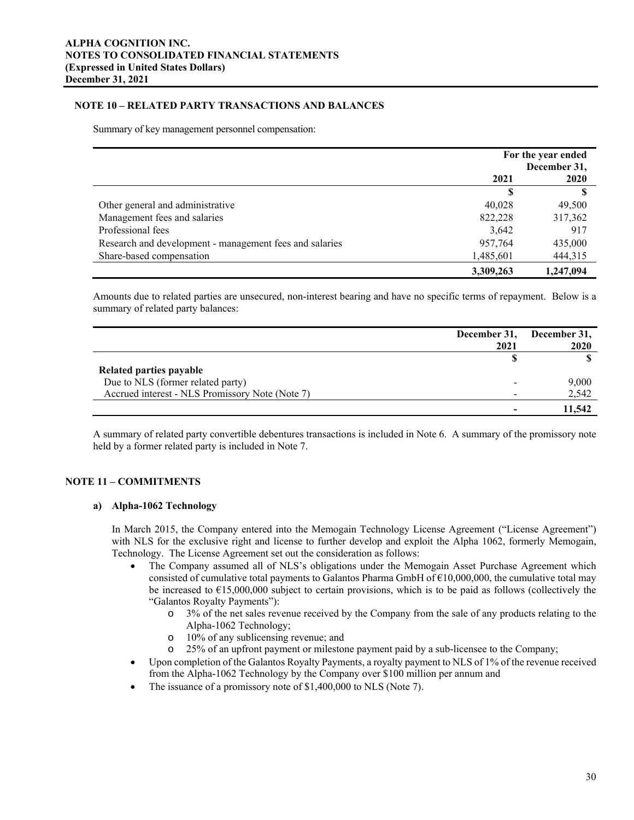### **NOTE 10 – RELATED PARTY TRANSACTIONS AND BALANCES**

Summary of key management personnel compensation:

|                                                         | For the year ended<br>December 31, |           |
|---------------------------------------------------------|------------------------------------|-----------|
|                                                         | 2021<br><b>2020</b>                |           |
|                                                         |                                    |           |
| Other general and administrative                        | 40,028                             | 49,500    |
| Management fees and salaries                            | 822,228                            | 317,362   |
| Professional fees                                       | 3,642                              | 917       |
| Research and development - management fees and salaries | 957,764                            | 435,000   |
| Share-based compensation                                | 1,485,601                          | 444,315   |
|                                                         | 3,309,263                          | 1,247,094 |

Amounts due to related parties are unsecured, non-interest bearing and have no specific terms of repayment. Below is a summary of related party balances:

|                                                 | December 31, | December 31, |
|-------------------------------------------------|--------------|--------------|
|                                                 | 2021         | 2020         |
|                                                 |              |              |
| Related parties payable                         |              |              |
| Due to NLS (former related party)               |              | 9,000        |
| Accrued interest - NLS Promissory Note (Note 7) | ۰            | 2,542        |
|                                                 | -            | 11.542       |

A summary of related party convertible debentures transactions is included in Note 6. A summary of the promissory note held by a former related party is included in Note 7.

### **NOTE 11 – COMMITMENTS**

#### **a) Alpha-1062 Technology**

In March 2015, the Company entered into the Memogain Technology License Agreement ("License Agreement") with NLS for the exclusive right and license to further develop and exploit the Alpha 1062, formerly Memogain, Technology. The License Agreement set out the consideration as follows:

- The Company assumed all of NLS's obligations under the Memogain Asset Purchase Agreement which consisted of cumulative total payments to Galantos Pharma GmbH of  $\epsilon$ 10,000,000, the cumulative total may be increased to  $\epsilon$ 15,000,000 subject to certain provisions, which is to be paid as follows (collectively the "Galantos Royalty Payments"):
	- o 3% of the net sales revenue received by the Company from the sale of any products relating to the Alpha-1062 Technology;
	- o 10% of any sublicensing revenue; and
	- o 25% of an upfront payment or milestone payment paid by a sub-licensee to the Company;
- Upon completion of the Galantos Royalty Payments, a royalty payment to NLS of 1% of the revenue received from the Alpha-1062 Technology by the Company over \$100 million per annum and
- The issuance of a promissory note of \$1,400,000 to NLS (Note 7).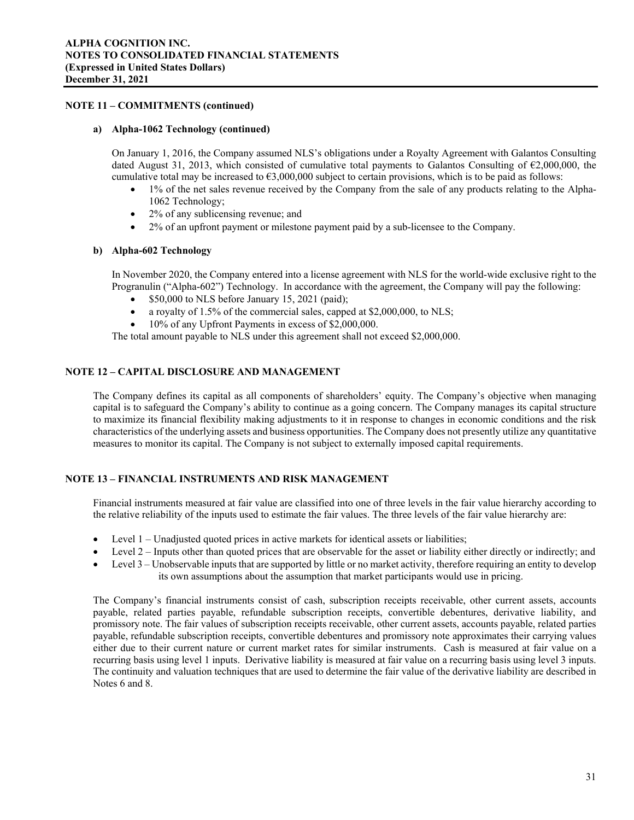### **NOTE 11 – COMMITMENTS (continued)**

### **a) Alpha-1062 Technology (continued)**

On January 1, 2016, the Company assumed NLS's obligations under a Royalty Agreement with Galantos Consulting dated August 31, 2013, which consisted of cumulative total payments to Galantos Consulting of €2,000,000, the cumulative total may be increased to  $\epsilon$ 3,000,000 subject to certain provisions, which is to be paid as follows:

- 1% of the net sales revenue received by the Company from the sale of any products relating to the Alpha-1062 Technology;
- 2% of any sublicensing revenue; and
- 2% of an upfront payment or milestone payment paid by a sub-licensee to the Company.

### **b) Alpha-602 Technology**

In November 2020, the Company entered into a license agreement with NLS for the world-wide exclusive right to the Progranulin ("Alpha-602") Technology. In accordance with the agreement, the Company will pay the following:

- $\bullet$  \$50,000 to NLS before January 15, 2021 (paid);
- a royalty of 1.5% of the commercial sales, capped at \$2,000,000, to NLS;
- 10% of any Upfront Payments in excess of \$2,000,000.

The total amount payable to NLS under this agreement shall not exceed \$2,000,000.

### **NOTE 12 – CAPITAL DISCLOSURE AND MANAGEMENT**

The Company defines its capital as all components of shareholders' equity. The Company's objective when managing capital is to safeguard the Company's ability to continue as a going concern. The Company manages its capital structure to maximize its financial flexibility making adjustments to it in response to changes in economic conditions and the risk characteristics of the underlying assets and business opportunities. The Company does not presently utilize any quantitative measures to monitor its capital. The Company is not subject to externally imposed capital requirements.

### **NOTE 13 – FINANCIAL INSTRUMENTS AND RISK MANAGEMENT**

Financial instruments measured at fair value are classified into one of three levels in the fair value hierarchy according to the relative reliability of the inputs used to estimate the fair values. The three levels of the fair value hierarchy are:

- Level 1 Unadjusted quoted prices in active markets for identical assets or liabilities;
- Level 2 Inputs other than quoted prices that are observable for the asset or liability either directly or indirectly; and
- Level 3 Unobservable inputs that are supported by little or no market activity, therefore requiring an entity to develop its own assumptions about the assumption that market participants would use in pricing.

The Company's financial instruments consist of cash, subscription receipts receivable, other current assets, accounts payable, related parties payable, refundable subscription receipts, convertible debentures, derivative liability, and promissory note. The fair values of subscription receipts receivable, other current assets, accounts payable, related parties payable, refundable subscription receipts, convertible debentures and promissory note approximates their carrying values either due to their current nature or current market rates for similar instruments. Cash is measured at fair value on a recurring basis using level 1 inputs. Derivative liability is measured at fair value on a recurring basis using level 3 inputs. The continuity and valuation techniques that are used to determine the fair value of the derivative liability are described in Notes 6 and 8.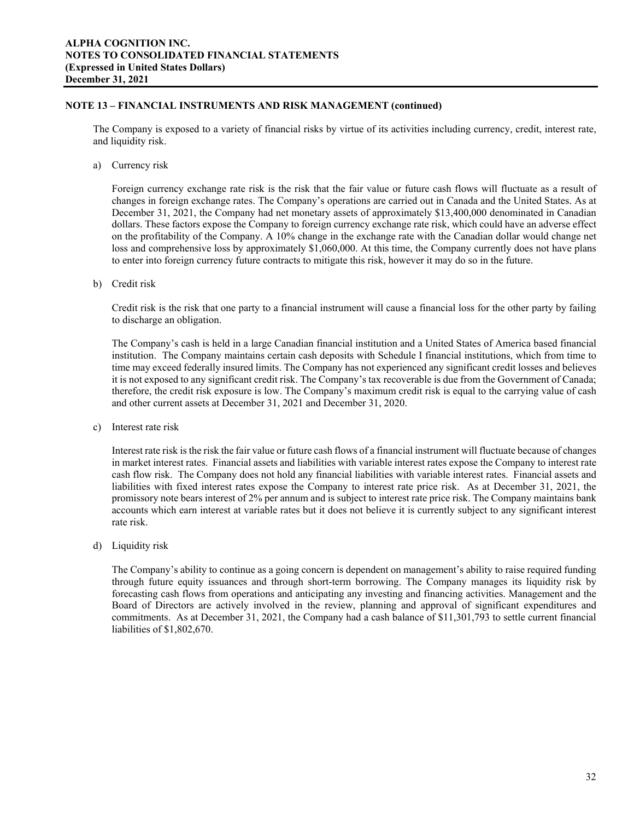### **NOTE 13 – FINANCIAL INSTRUMENTS AND RISK MANAGEMENT (continued)**

The Company is exposed to a variety of financial risks by virtue of its activities including currency, credit, interest rate, and liquidity risk.

a) Currency risk

Foreign currency exchange rate risk is the risk that the fair value or future cash flows will fluctuate as a result of changes in foreign exchange rates. The Company's operations are carried out in Canada and the United States. As at December 31, 2021, the Company had net monetary assets of approximately \$13,400,000 denominated in Canadian dollars. These factors expose the Company to foreign currency exchange rate risk, which could have an adverse effect on the profitability of the Company. A 10% change in the exchange rate with the Canadian dollar would change net loss and comprehensive loss by approximately \$1,060,000. At this time, the Company currently does not have plans to enter into foreign currency future contracts to mitigate this risk, however it may do so in the future.

b) Credit risk

Credit risk is the risk that one party to a financial instrument will cause a financial loss for the other party by failing to discharge an obligation.

The Company's cash is held in a large Canadian financial institution and a United States of America based financial institution. The Company maintains certain cash deposits with Schedule I financial institutions, which from time to time may exceed federally insured limits. The Company has not experienced any significant credit losses and believes it is not exposed to any significant credit risk. The Company's tax recoverable is due from the Government of Canada; therefore, the credit risk exposure is low. The Company's maximum credit risk is equal to the carrying value of cash and other current assets at December 31, 2021 and December 31, 2020.

c) Interest rate risk

Interest rate risk is the risk the fair value or future cash flows of a financial instrument will fluctuate because of changes in market interest rates. Financial assets and liabilities with variable interest rates expose the Company to interest rate cash flow risk. The Company does not hold any financial liabilities with variable interest rates. Financial assets and liabilities with fixed interest rates expose the Company to interest rate price risk. As at December 31, 2021, the promissory note bears interest of 2% per annum and is subject to interest rate price risk. The Company maintains bank accounts which earn interest at variable rates but it does not believe it is currently subject to any significant interest rate risk.

d) Liquidity risk

The Company's ability to continue as a going concern is dependent on management's ability to raise required funding through future equity issuances and through short-term borrowing. The Company manages its liquidity risk by forecasting cash flows from operations and anticipating any investing and financing activities. Management and the Board of Directors are actively involved in the review, planning and approval of significant expenditures and commitments. As at December 31, 2021, the Company had a cash balance of \$11,301,793 to settle current financial liabilities of \$1,802,670.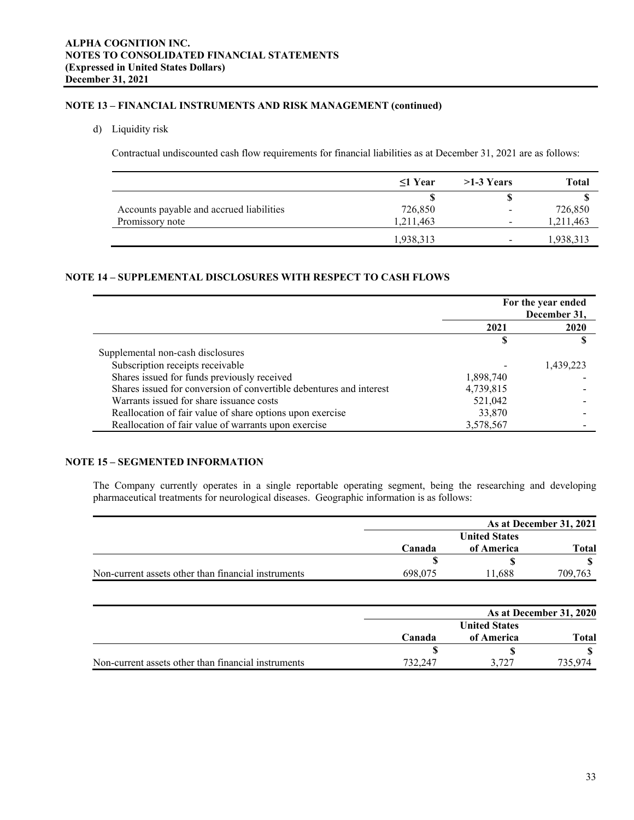### **NOTE 13 – FINANCIAL INSTRUMENTS AND RISK MANAGEMENT (continued)**

### d) Liquidity risk

Contractual undiscounted cash flow requirements for financial liabilities as at December 31, 2021 are as follows:

|                                          | $\leq$ 1 Year | $>1-3$ Years | Total     |
|------------------------------------------|---------------|--------------|-----------|
|                                          |               |              |           |
| Accounts payable and accrued liabilities | 726,850       |              | 726,850   |
| Promissory note                          | 1,211,463     | -            | 1,211,463 |
|                                          | 1,938,313     |              | 1,938,313 |

## **NOTE 14 – SUPPLEMENTAL DISCLOSURES WITH RESPECT TO CASH FLOWS**

|                                                                     | For the year ended<br>December 31, |           |
|---------------------------------------------------------------------|------------------------------------|-----------|
|                                                                     | 2021                               | 2020      |
|                                                                     |                                    |           |
| Supplemental non-cash disclosures                                   |                                    |           |
| Subscription receipts receivable                                    |                                    | 1,439,223 |
| Shares issued for funds previously received                         | 1,898,740                          |           |
| Shares issued for conversion of convertible debentures and interest | 4,739,815                          |           |
| Warrants issued for share issuance costs                            | 521,042                            |           |
| Reallocation of fair value of share options upon exercise           | 33,870                             |           |
| Reallocation of fair value of warrants upon exercise                | 3,578,567                          |           |

### **NOTE 15 – SEGMENTED INFORMATION**

The Company currently operates in a single reportable operating segment, being the researching and developing pharmaceutical treatments for neurological diseases. Geographic information is as follows:

|                                                     | As at December 31, 2021 |                      |         |
|-----------------------------------------------------|-------------------------|----------------------|---------|
|                                                     |                         | <b>United States</b> |         |
|                                                     | Canada                  | of America           | Total   |
|                                                     |                         |                      |         |
| Non-current assets other than financial instruments | 698,075                 | 1.688                | 709,763 |

|                                                     | As at December 31, 2020 |                      |         |
|-----------------------------------------------------|-------------------------|----------------------|---------|
|                                                     |                         | <b>United States</b> |         |
|                                                     | Canada                  | of America           | Total   |
|                                                     |                         |                      |         |
| Non-current assets other than financial instruments | 732.247                 | 3.727                | 735.974 |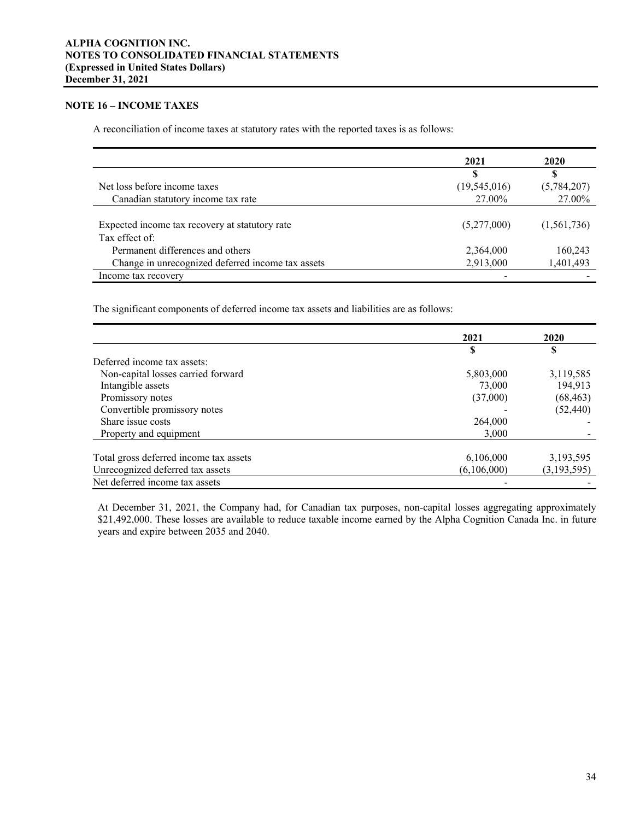### **NOTE 16 – INCOME TAXES**

A reconciliation of income taxes at statutory rates with the reported taxes is as follows:

|                                                   | 2021           | <b>2020</b> |
|---------------------------------------------------|----------------|-------------|
|                                                   |                |             |
| Net loss before income taxes                      | (19, 545, 016) | (5,784,207) |
| Canadian statutory income tax rate                | 27.00%         | 27.00%      |
|                                                   |                |             |
| Expected income tax recovery at statutory rate    | (5,277,000)    | (1,561,736) |
| Tax effect of:                                    |                |             |
| Permanent differences and others                  | 2,364,000      | 160,243     |
| Change in unrecognized deferred income tax assets | 2,913,000      | 1,401,493   |
| Income tax recovery                               |                |             |

The significant components of deferred income tax assets and liabilities are as follows:

|                                        | 2021        | 2020          |
|----------------------------------------|-------------|---------------|
|                                        | S           | \$            |
| Deferred income tax assets:            |             |               |
| Non-capital losses carried forward     | 5,803,000   | 3,119,585     |
| Intangible assets                      | 73,000      | 194,913       |
| Promissory notes                       | (37,000)    | (68, 463)     |
| Convertible promissory notes           |             | (52, 440)     |
| Share issue costs                      | 264,000     |               |
| Property and equipment                 | 3,000       |               |
|                                        |             |               |
| Total gross deferred income tax assets | 6,106,000   | 3,193,595     |
| Unrecognized deferred tax assets       | (6,106,000) | (3, 193, 595) |
| Net deferred income tax assets         |             |               |

At December 31, 2021, the Company had, for Canadian tax purposes, non-capital losses aggregating approximately \$21,492,000. These losses are available to reduce taxable income earned by the Alpha Cognition Canada Inc. in future years and expire between 2035 and 2040.